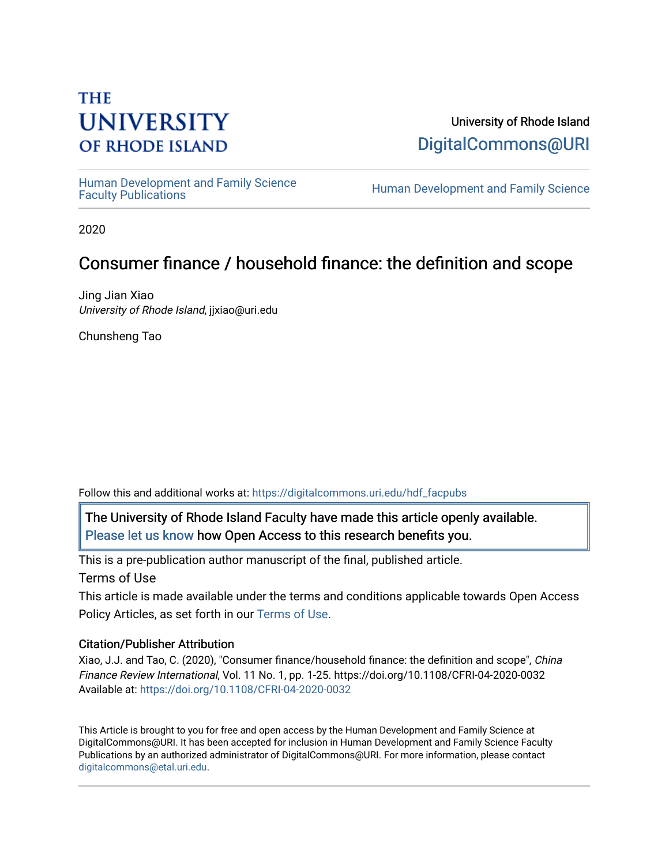# **THE UNIVERSITY OF RHODE ISLAND**

University of Rhode Island [DigitalCommons@URI](https://digitalcommons.uri.edu/) 

Human Development and Family Science<br>Faculty Publications

Human Development and Family Science

2020

## Consumer finance / household finance: the definition and scope

Jing Jian Xiao University of Rhode Island, jjxiao@uri.edu

Chunsheng Tao

Follow this and additional works at: [https://digitalcommons.uri.edu/hdf\\_facpubs](https://digitalcommons.uri.edu/hdf_facpubs?utm_source=digitalcommons.uri.edu%2Fhdf_facpubs%2F75&utm_medium=PDF&utm_campaign=PDFCoverPages) 

The University of Rhode Island Faculty have made this article openly available. [Please let us know](http://web.uri.edu/library-digital-initiatives/open-access-online-form/) how Open Access to this research benefits you.

This is a pre-publication author manuscript of the final, published article. Terms of Use

This article is made available under the terms and conditions applicable towards Open Access Policy Articles, as set forth in our [Terms of Use](https://digitalcommons.uri.edu/hdf_facpubs/oa_policy_terms.html).

## Citation/Publisher Attribution

Xiao, J.J. and Tao, C. (2020), "Consumer finance/household finance: the definition and scope", China Finance Review International, Vol. 11 No. 1, pp. 1-25. https://doi.org/10.1108/CFRI-04-2020-0032 Available at:<https://doi.org/10.1108/CFRI-04-2020-0032>

This Article is brought to you for free and open access by the Human Development and Family Science at DigitalCommons@URI. It has been accepted for inclusion in Human Development and Family Science Faculty Publications by an authorized administrator of DigitalCommons@URI. For more information, please contact [digitalcommons@etal.uri.edu](mailto:digitalcommons@etal.uri.edu).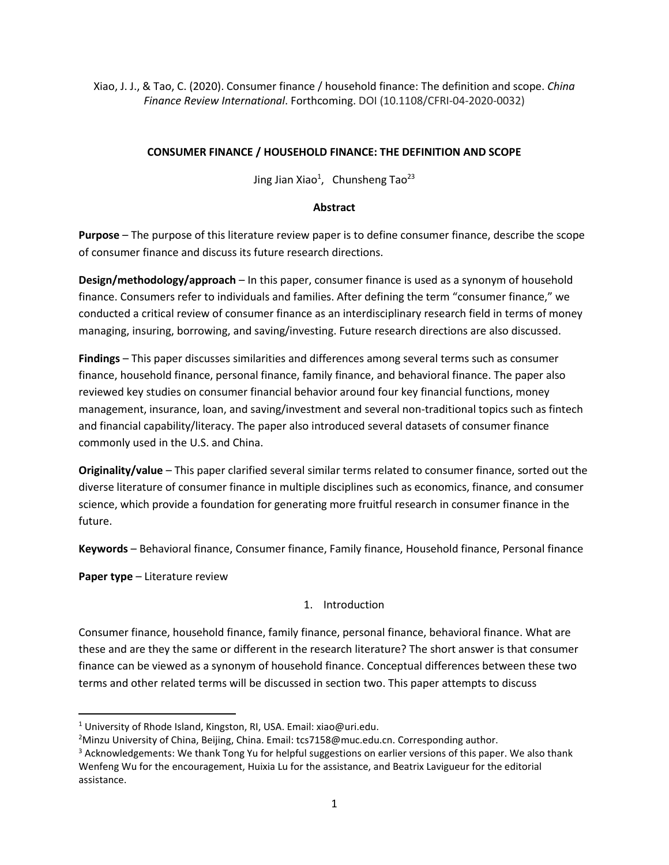Xiao, J. J., & Tao, C. (2020). Consumer finance / household finance: The definition and scope. *China Finance Review International*. Forthcoming. DOI (10.1108/CFRI-04-2020-0032)

## **CONSUMER FINANCE / HOUSEHOLD FINANCE: THE DEFINITION AND SCOPE**

Jing Jian Xiao<sup>1</sup>, Chunsheng Tao<sup>23</sup>

## **Abstract**

**Purpose** – The purpose of this literature review paper is to define consumer finance, describe the scope of consumer finance and discuss its future research directions.

**Design/methodology/approach** – In this paper, consumer finance is used as a synonym of household finance. Consumers refer to individuals and families. After defining the term "consumer finance," we conducted a critical review of consumer finance as an interdisciplinary research field in terms of money managing, insuring, borrowing, and saving/investing. Future research directions are also discussed.

**Findings** – This paper discusses similarities and differences among several terms such as consumer finance, household finance, personal finance, family finance, and behavioral finance. The paper also reviewed key studies on consumer financial behavior around four key financial functions, money management, insurance, loan, and saving/investment and several non-traditional topics such as fintech and financial capability/literacy. The paper also introduced several datasets of consumer finance commonly used in the U.S. and China.

**Originality/value** – This paper clarified several similar terms related to consumer finance, sorted out the diverse literature of consumer finance in multiple disciplines such as economics, finance, and consumer science, which provide a foundation for generating more fruitful research in consumer finance in the future.

**Keywords** – Behavioral finance, Consumer finance, Family finance, Household finance, Personal finance

**Paper type** – Literature review

## 1. Introduction

Consumer finance, household finance, family finance, personal finance, behavioral finance. What are these and are they the same or different in the research literature? The short answer is that consumer finance can be viewed as a synonym of household finance. Conceptual differences between these two terms and other related terms will be discussed in section two. This paper attempts to discuss

<sup>&</sup>lt;sup>1</sup> University of Rhode Island, Kingston, RI, USA. Email: xiao@uri.edu.

<sup>&</sup>lt;sup>2</sup>Minzu University of China, Beijing, China. Email: tcs7158@muc.edu.cn. Corresponding author.

<sup>&</sup>lt;sup>3</sup> Acknowledgements: We thank Tong Yu for helpful suggestions on earlier versions of this paper. We also thank Wenfeng Wu for the encouragement, Huixia Lu for the assistance, and Beatrix Lavigueur for the editorial assistance.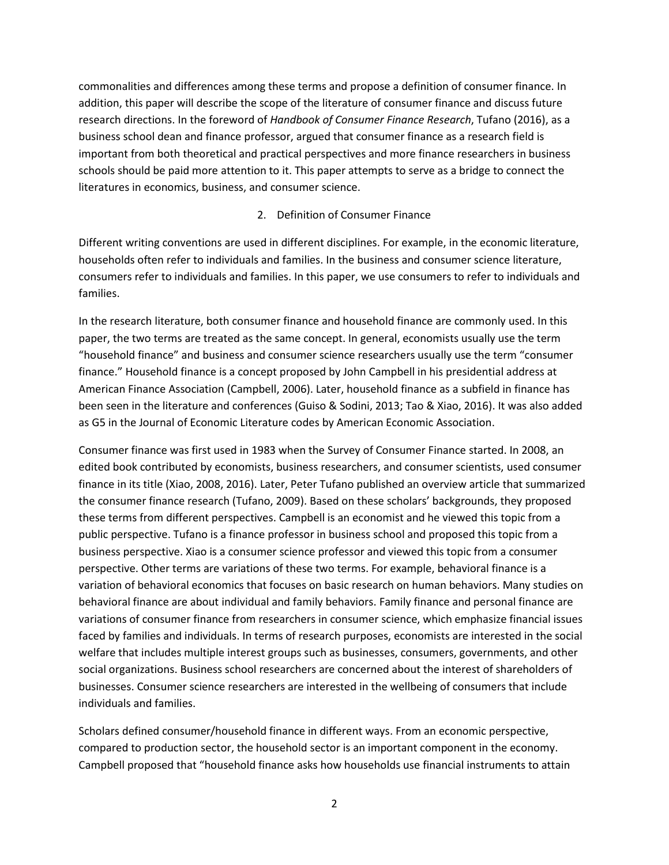commonalities and differences among these terms and propose a definition of consumer finance. In addition, this paper will describe the scope of the literature of consumer finance and discuss future research directions. In the foreword of *Handbook of Consumer Finance Research*, Tufano (2016), as a business school dean and finance professor, argued that consumer finance as a research field is important from both theoretical and practical perspectives and more finance researchers in business schools should be paid more attention to it. This paper attempts to serve as a bridge to connect the literatures in economics, business, and consumer science.

#### 2. Definition of Consumer Finance

Different writing conventions are used in different disciplines. For example, in the economic literature, households often refer to individuals and families. In the business and consumer science literature, consumers refer to individuals and families. In this paper, we use consumers to refer to individuals and families.

In the research literature, both consumer finance and household finance are commonly used. In this paper, the two terms are treated as the same concept. In general, economists usually use the term "household finance" and business and consumer science researchers usually use the term "consumer finance." Household finance is a concept proposed by John Campbell in his presidential address at American Finance Association (Campbell, 2006). Later, household finance as a subfield in finance has been seen in the literature and conferences (Guiso & Sodini, 2013; Tao & Xiao, 2016). It was also added as G5 in the Journal of Economic Literature codes by American Economic Association.

Consumer finance was first used in 1983 when the Survey of Consumer Finance started. In 2008, an edited book contributed by economists, business researchers, and consumer scientists, used consumer finance in its title (Xiao, 2008, 2016). Later, Peter Tufano published an overview article that summarized the consumer finance research (Tufano, 2009). Based on these scholars' backgrounds, they proposed these terms from different perspectives. Campbell is an economist and he viewed this topic from a public perspective. Tufano is a finance professor in business school and proposed this topic from a business perspective. Xiao is a consumer science professor and viewed this topic from a consumer perspective. Other terms are variations of these two terms. For example, behavioral finance is a variation of behavioral economics that focuses on basic research on human behaviors. Many studies on behavioral finance are about individual and family behaviors. Family finance and personal finance are variations of consumer finance from researchers in consumer science, which emphasize financial issues faced by families and individuals. In terms of research purposes, economists are interested in the social welfare that includes multiple interest groups such as businesses, consumers, governments, and other social organizations. Business school researchers are concerned about the interest of shareholders of businesses. Consumer science researchers are interested in the wellbeing of consumers that include individuals and families.

Scholars defined consumer/household finance in different ways. From an economic perspective, compared to production sector, the household sector is an important component in the economy. Campbell proposed that "household finance asks how households use financial instruments to attain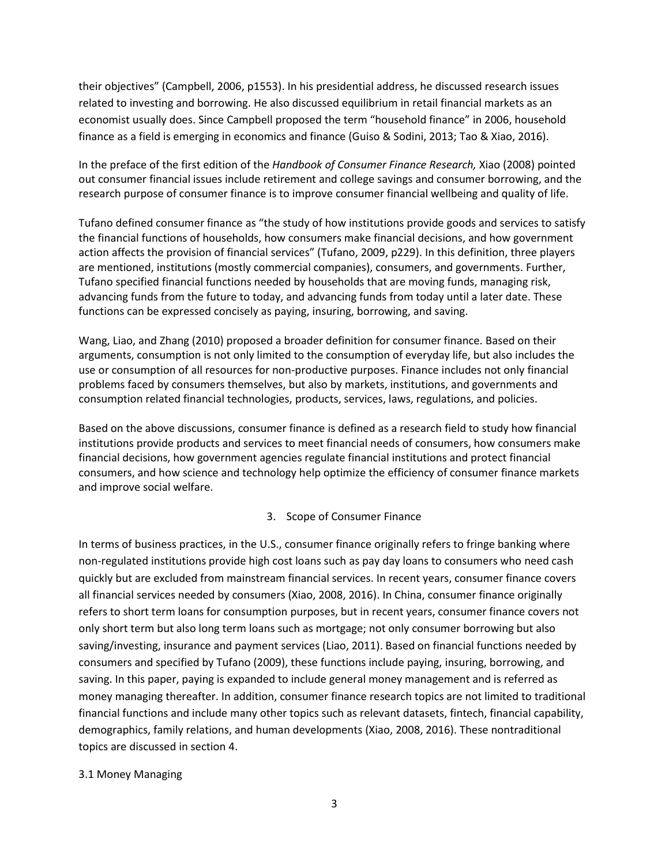their objectives" (Campbell, 2006, p1553). In his presidential address, he discussed research issues related to investing and borrowing. He also discussed equilibrium in retail financial markets as an economist usually does. Since Campbell proposed the term "household finance" in 2006, household finance as a field is emerging in economics and finance (Guiso & Sodini, 2013; Tao & Xiao, 2016).

In the preface of the first edition of the *Handbook of Consumer Finance Research,* Xiao (2008) pointed out consumer financial issues include retirement and college savings and consumer borrowing, and the research purpose of consumer finance is to improve consumer financial wellbeing and quality of life.

Tufano defined consumer finance as "the study of how institutions provide goods and services to satisfy the financial functions of households, how consumers make financial decisions, and how government action affects the provision of financial services" (Tufano, 2009, p229). In this definition, three players are mentioned, institutions (mostly commercial companies), consumers, and governments. Further, Tufano specified financial functions needed by households that are moving funds, managing risk, advancing funds from the future to today, and advancing funds from today until a later date. These functions can be expressed concisely as paying, insuring, borrowing, and saving.

Wang, Liao, and Zhang (2010) proposed a broader definition for consumer finance. Based on their arguments, consumption is not only limited to the consumption of everyday life, but also includes the use or consumption of all resources for non-productive purposes. Finance includes not only financial problems faced by consumers themselves, but also by markets, institutions, and governments and consumption related financial technologies, products, services, laws, regulations, and policies.

Based on the above discussions, consumer finance is defined as a research field to study how financial institutions provide products and services to meet financial needs of consumers, how consumers make financial decisions, how government agencies regulate financial institutions and protect financial consumers, and how science and technology help optimize the efficiency of consumer finance markets and improve social welfare.

## 3. Scope of Consumer Finance

In terms of business practices, in the U.S., consumer finance originally refers to fringe banking where non-regulated institutions provide high cost loans such as pay day loans to consumers who need cash quickly but are excluded from mainstream financial services. In recent years, consumer finance covers all financial services needed by consumers (Xiao, 2008, 2016). In China, consumer finance originally refers to short term loans for consumption purposes, but in recent years, consumer finance covers not only short term but also long term loans such as mortgage; not only consumer borrowing but also saving/investing, insurance and payment services (Liao, 2011). Based on financial functions needed by consumers and specified by Tufano (2009), these functions include paying, insuring, borrowing, and saving. In this paper, paying is expanded to include general money management and is referred as money managing thereafter. In addition, consumer finance research topics are not limited to traditional financial functions and include many other topics such as relevant datasets, fintech, financial capability, demographics, family relations, and human developments (Xiao, 2008, 2016). These nontraditional topics are discussed in section 4.

## 3.1 Money Managing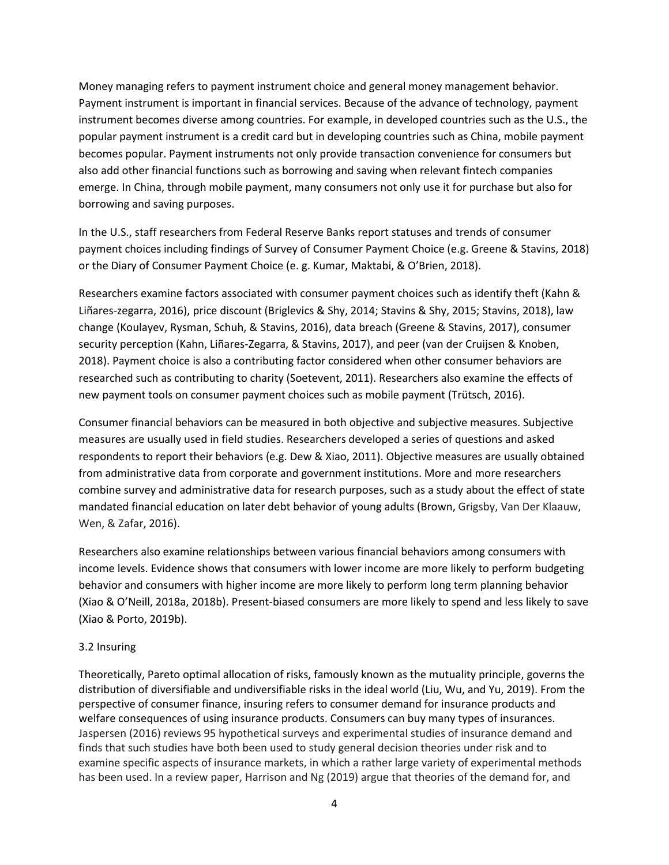Money managing refers to payment instrument choice and general money management behavior. Payment instrument is important in financial services. Because of the advance of technology, payment instrument becomes diverse among countries. For example, in developed countries such as the U.S., the popular payment instrument is a credit card but in developing countries such as China, mobile payment becomes popular. Payment instruments not only provide transaction convenience for consumers but also add other financial functions such as borrowing and saving when relevant fintech companies emerge. In China, through mobile payment, many consumers not only use it for purchase but also for borrowing and saving purposes.

In the U.S., staff researchers from Federal Reserve Banks report statuses and trends of consumer payment choices including findings of Survey of Consumer Payment Choice (e.g. Greene & Stavins, 2018) or the Diary of Consumer Payment Choice (e. g. Kumar, Maktabi, & O'Brien, 2018).

Researchers examine factors associated with consumer payment choices such as identify theft (Kahn & Liñares-zegarra, 2016), price discount (Briglevics & Shy, 2014; Stavins & Shy, 2015; Stavins, 2018), law change (Koulayev, Rysman, Schuh, & Stavins, 2016), data breach (Greene & Stavins, 2017), consumer security perception (Kahn, Liñares-Zegarra, & Stavins, 2017), and peer (van der Cruijsen & Knoben, 2018). Payment choice is also a contributing factor considered when other consumer behaviors are researched such as contributing to charity (Soetevent, 2011). Researchers also examine the effects of new payment tools on consumer payment choices such as mobile payment (Trütsch, 2016).

Consumer financial behaviors can be measured in both objective and subjective measures. Subjective measures are usually used in field studies. Researchers developed a series of questions and asked respondents to report their behaviors (e.g. Dew & Xiao, 2011). Objective measures are usually obtained from administrative data from corporate and government institutions. More and more researchers combine survey and administrative data for research purposes, such as a study about the effect of state mandated financial education on later debt behavior of young adults (Brown, Grigsby, Van Der Klaauw, Wen, & Zafar, 2016).

Researchers also examine relationships between various financial behaviors among consumers with income levels. Evidence shows that consumers with lower income are more likely to perform budgeting behavior and consumers with higher income are more likely to perform long term planning behavior (Xiao & O'Neill, 2018a, 2018b). Present-biased consumers are more likely to spend and less likely to save (Xiao & Porto, 2019b).

## 3.2 Insuring

Theoretically, Pareto optimal allocation of risks, famously known as the mutuality principle, governs the distribution of diversifiable and undiversifiable risks in the ideal world (Liu, Wu, and Yu, 2019). From the perspective of consumer finance, insuring refers to consumer demand for insurance products and welfare consequences of using insurance products. Consumers can buy many types of insurances. Jaspersen (2016) reviews 95 hypothetical surveys and experimental studies of insurance demand and finds that such studies have both been used to study general decision theories under risk and to examine specific aspects of insurance markets, in which a rather large variety of experimental methods has been used. In a review paper, Harrison and Ng (2019) argue that theories of the demand for, and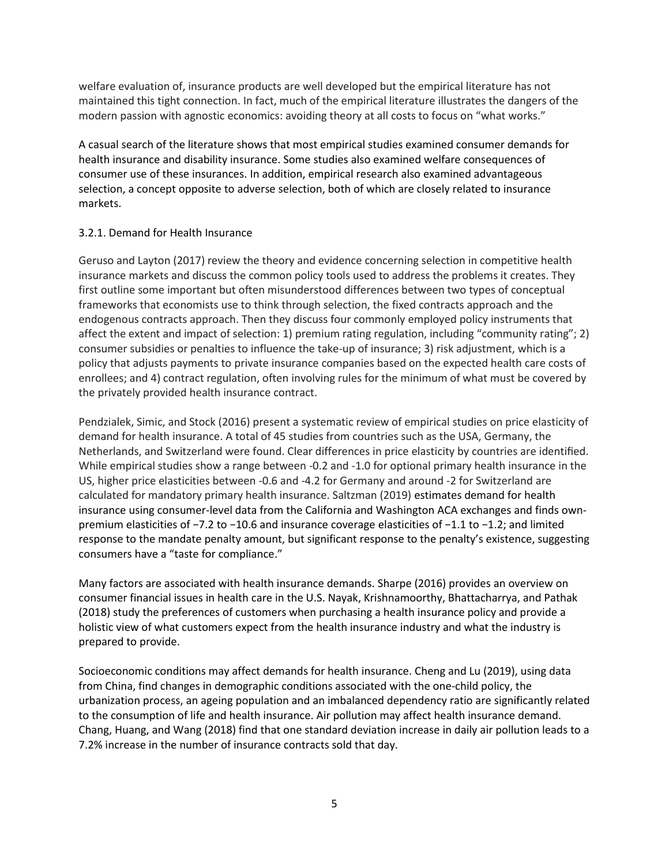welfare evaluation of, insurance products are well developed but the empirical literature has not maintained this tight connection. In fact, much of the empirical literature illustrates the dangers of the modern passion with agnostic economics: avoiding theory at all costs to focus on "what works."

A casual search of the literature shows that most empirical studies examined consumer demands for health insurance and disability insurance. Some studies also examined welfare consequences of consumer use of these insurances. In addition, empirical research also examined advantageous selection, a concept opposite to adverse selection, both of which are closely related to insurance markets.

## 3.2.1. Demand for Health Insurance

Geruso and Layton (2017) review the theory and evidence concerning selection in competitive health insurance markets and discuss the common policy tools used to address the problems it creates. They first outline some important but often misunderstood differences between two types of conceptual frameworks that economists use to think through selection, the fixed contracts approach and the endogenous contracts approach. Then they discuss four commonly employed policy instruments that affect the extent and impact of selection: 1) premium rating regulation, including "community rating"; 2) consumer subsidies or penalties to influence the take-up of insurance; 3) risk adjustment, which is a policy that adjusts payments to private insurance companies based on the expected health care costs of enrollees; and 4) contract regulation, often involving rules for the minimum of what must be covered by the privately provided health insurance contract.

Pendzialek, Simic, and Stock (2016) present a systematic review of empirical studies on price elasticity of demand for health insurance. A total of 45 studies from countries such as the USA, Germany, the Netherlands, and Switzerland were found. Clear differences in price elasticity by countries are identified. While empirical studies show a range between -0.2 and -1.0 for optional primary health insurance in the US, higher price elasticities between -0.6 and -4.2 for Germany and around -2 for Switzerland are calculated for mandatory primary health insurance. Saltzman (2019) estimates demand for health insurance using consumer-level data from the California and Washington ACA exchanges and finds ownpremium elasticities of −7.2 to −10.6 and insurance coverage elasticities of −1.1 to −1.2; and limited response to the mandate penalty amount, but significant response to the penalty's existence, suggesting consumers have a "taste for compliance."

Many factors are associated with health insurance demands. Sharpe (2016) provides an overview on consumer financial issues in health care in the U.S. Nayak, Krishnamoorthy, Bhattacharrya, and Pathak (2018) study the preferences of customers when purchasing a health insurance policy and provide a holistic view of what customers expect from the health insurance industry and what the industry is prepared to provide.

Socioeconomic conditions may affect demands for health insurance. Cheng and Lu (2019), using data from China, find changes in demographic conditions associated with the one-child policy, the urbanization process, an ageing population and an imbalanced dependency ratio are significantly related to the consumption of life and health insurance. Air pollution may affect health insurance demand. Chang, Huang, and Wang (2018) find that one standard deviation increase in daily air pollution leads to a 7.2% increase in the number of insurance contracts sold that day.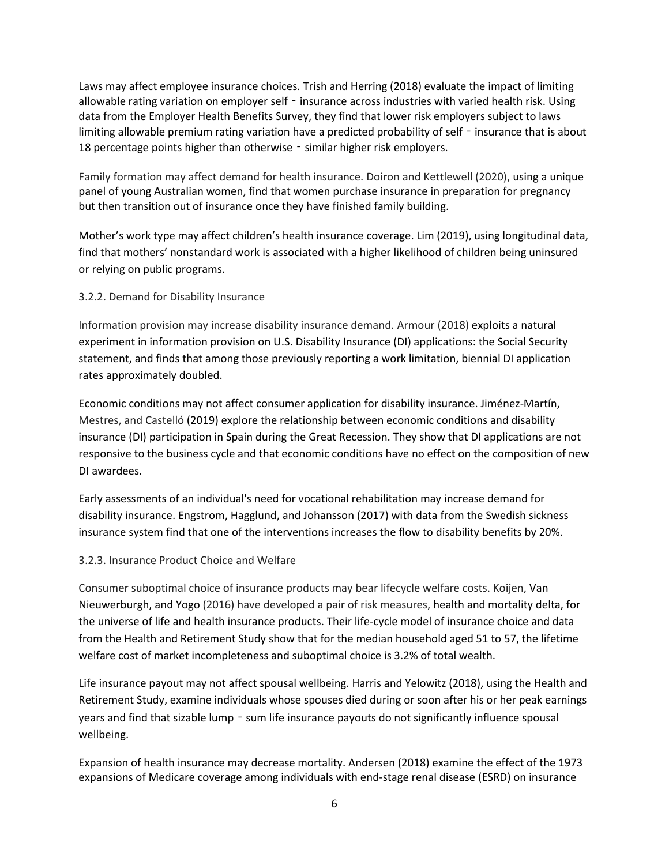Laws may affect employee insurance choices. Trish and Herring (2018) evaluate the impact of limiting allowable rating variation on employer self - insurance across industries with varied health risk. Using data from the Employer Health Benefits Survey, they find that lower risk employers subject to laws limiting allowable premium rating variation have a predicted probability of self - insurance that is about 18 percentage points higher than otherwise - similar higher risk employers.

Family formation may affect demand for health insurance. Doiron and Kettlewell (2020), using a unique panel of young Australian women, find that women purchase insurance in preparation for pregnancy but then transition out of insurance once they have finished family building.

Mother's work type may affect children's health insurance coverage. Lim (2019), using longitudinal data, find that mothers' nonstandard work is associated with a higher likelihood of children being uninsured or relying on public programs.

## 3.2.2. Demand for Disability Insurance

Information provision may increase disability insurance demand. Armour (2018) exploits a natural experiment in information provision on U.S. Disability Insurance (DI) applications: the Social Security statement, and finds that among those previously reporting a work limitation, biennial DI application rates approximately doubled.

Economic conditions may not affect consumer application for disability insurance. Jiménez-Martín, Mestres, and Castelló (2019) explore the relationship between economic conditions and disability insurance (DI) participation in Spain during the Great Recession. They show that DI applications are not responsive to the business cycle and that economic conditions have no effect on the composition of new DI awardees.

Early assessments of an individual's need for vocational rehabilitation may increase demand for disability insurance. Engstrom, Hagglund, and Johansson (2017) with data from the Swedish sickness insurance system find that one of the interventions increases the flow to disability benefits by 20%.

## 3.2.3. Insurance Product Choice and Welfare

Consumer suboptimal choice of insurance products may bear lifecycle welfare costs. Koijen, Van Nieuwerburgh, and Yogo (2016) have developed a pair of risk measures, health and mortality delta, for the universe of life and health insurance products. Their life-cycle model of insurance choice and data from the Health and Retirement Study show that for the median household aged 51 to 57, the lifetime welfare cost of market incompleteness and suboptimal choice is 3.2% of total wealth.

Life insurance payout may not affect spousal wellbeing. Harris and Yelowitz (2018), using the Health and Retirement Study, examine individuals whose spouses died during or soon after his or her peak earnings years and find that sizable lump - sum life insurance payouts do not significantly influence spousal wellbeing.

Expansion of health insurance may decrease mortality. Andersen (2018) examine the effect of the 1973 expansions of Medicare coverage among individuals with end-stage renal disease (ESRD) on insurance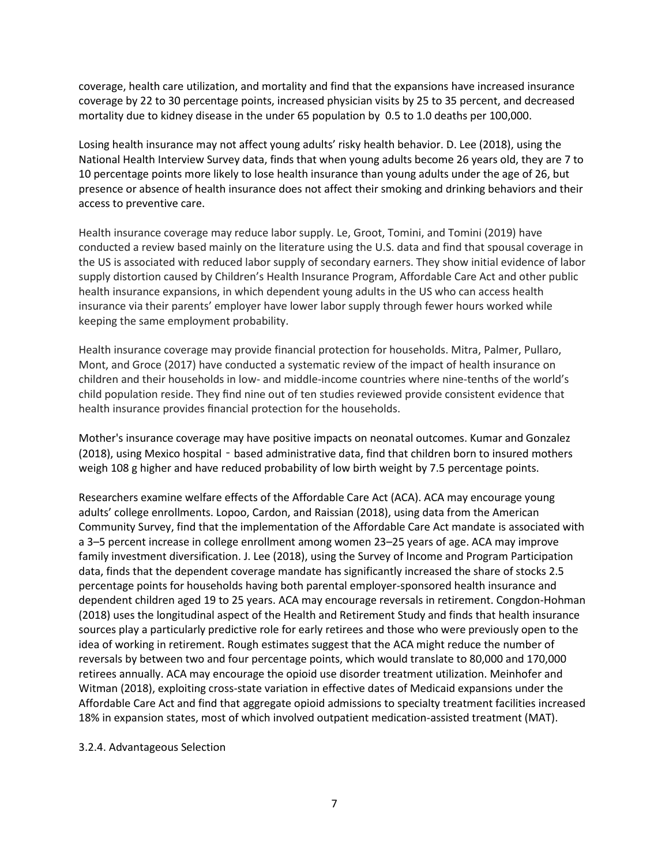coverage, health care utilization, and mortality and find that the expansions have increased insurance coverage by 22 to 30 percentage points, increased physician visits by 25 to 35 percent, and decreased mortality due to kidney disease in the under 65 population by 0.5 to 1.0 deaths per 100,000.

Losing health insurance may not affect young adults' risky health behavior. D. Lee (2018), using the National Health Interview Survey data, finds that when young adults become 26 years old, they are 7 to 10 percentage points more likely to lose health insurance than young adults under the age of 26, but presence or absence of health insurance does not affect their smoking and drinking behaviors and their access to preventive care.

Health insurance coverage may reduce labor supply. Le, Groot, Tomini, and Tomini (2019) have conducted a review based mainly on the literature using the U.S. data and find that spousal coverage in the US is associated with reduced labor supply of secondary earners. They show initial evidence of labor supply distortion caused by Children's Health Insurance Program, Affordable Care Act and other public health insurance expansions, in which dependent young adults in the US who can access health insurance via their parents' employer have lower labor supply through fewer hours worked while keeping the same employment probability.

Health insurance coverage may provide financial protection for households. Mitra, Palmer, Pullaro, Mont, and Groce (2017) have conducted a systematic review of the impact of health insurance on children and their households in low- and middle-income countries where nine-tenths of the world's child population reside. They find nine out of ten studies reviewed provide consistent evidence that health insurance provides financial protection for the households.

Mother's insurance coverage may have positive impacts on neonatal outcomes. Kumar and Gonzalez (2018), using Mexico hospital - based administrative data, find that children born to insured mothers weigh 108 g higher and have reduced probability of low birth weight by 7.5 percentage points.

Researchers examine welfare effects of the Affordable Care Act (ACA). ACA may encourage young adults' college enrollments. Lopoo, Cardon, and Raissian (2018), using data from the American Community Survey, find that the implementation of the Affordable Care Act mandate is associated with a 3–5 percent increase in college enrollment among women 23–25 years of age. ACA may improve family investment diversification. J. Lee (2018), using the Survey of Income and Program Participation data, finds that the dependent coverage mandate has significantly increased the share of stocks 2.5 percentage points for households having both parental employer-sponsored health insurance and dependent children aged 19 to 25 years. ACA may encourage reversals in retirement. Congdon-Hohman (2018) uses the longitudinal aspect of the Health and Retirement Study and finds that health insurance sources play a particularly predictive role for early retirees and those who were previously open to the idea of working in retirement. Rough estimates suggest that the ACA might reduce the number of reversals by between two and four percentage points, which would translate to 80,000 and 170,000 retirees annually. ACA may encourage the opioid use disorder treatment utilization. Meinhofer and Witman (2018), exploiting cross-state variation in effective dates of Medicaid expansions under the Affordable Care Act and find that aggregate opioid admissions to specialty treatment facilities increased 18% in expansion states, most of which involved outpatient medication-assisted treatment (MAT).

3.2.4. Advantageous Selection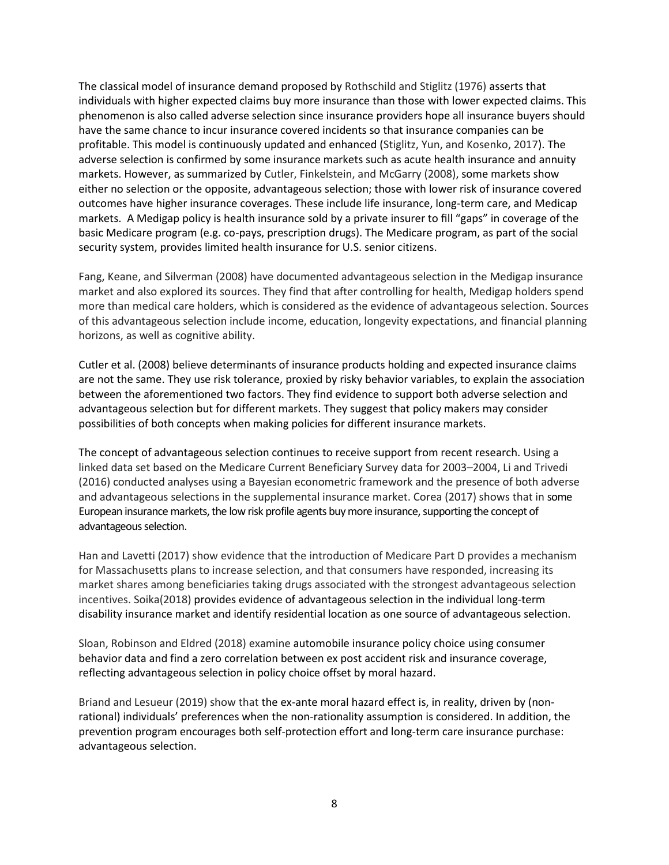The classical model of insurance demand proposed by Rothschild and Stiglitz (1976) asserts that individuals with higher expected claims buy more insurance than those with lower expected claims. This phenomenon is also called adverse selection since insurance providers hope all insurance buyers should have the same chance to incur insurance covered incidents so that insurance companies can be profitable. This model is continuously updated and enhanced (Stiglitz, Yun, and Kosenko, 2017). The adverse selection is confirmed by some insurance markets such as acute health insurance and annuity markets. However, as summarized by Cutler, Finkelstein, and McGarry (2008), some markets show either no selection or the opposite, advantageous selection; those with lower risk of insurance covered outcomes have higher insurance coverages. These include life insurance, long-term care, and Medicap markets. A Medigap policy is health insurance sold by a private insurer to fill "gaps" in coverage of the basic Medicare program (e.g. co-pays, prescription drugs). The Medicare program, as part of the social security system, provides limited health insurance for U.S. senior citizens.

Fang, Keane, and Silverman (2008) have documented advantageous selection in the Medigap insurance market and also explored its sources. They find that after controlling for health, Medigap holders spend more than medical care holders, which is considered as the evidence of advantageous selection. Sources of this advantageous selection include income, education, longevity expectations, and financial planning horizons, as well as cognitive ability.

Cutler et al. (2008) believe determinants of insurance products holding and expected insurance claims are not the same. They use risk tolerance, proxied by risky behavior variables, to explain the association between the aforementioned two factors. They find evidence to support both adverse selection and advantageous selection but for different markets. They suggest that policy makers may consider possibilities of both concepts when making policies for different insurance markets.

The concept of advantageous selection continues to receive support from recent research. Using a linked data set based on the Medicare Current Beneficiary Survey data for 2003–2004, Li and Trivedi (2016) conducted analyses using a Bayesian econometric framework and the presence of both adverse and advantageous selections in the supplemental insurance market. Corea (2017) shows that in some European insurance markets, the low risk profile agents buy more insurance, supporting the concept of advantageous selection.

Han and Lavetti (2017) show evidence that the introduction of Medicare Part D provides a mechanism for Massachusetts plans to increase selection, and that consumers have responded, increasing its market shares among beneficiaries taking drugs associated with the strongest advantageous selection incentives. Soika(2018) provides evidence of advantageous selection in the individual long-term disability insurance market and identify residential location as one source of advantageous selection.

Sloan, Robinson and Eldred (2018) examine automobile insurance policy choice using consumer behavior data and find a zero correlation between ex post accident risk and insurance coverage, reflecting advantageous selection in policy choice offset by moral hazard.

Briand and Lesueur (2019) show that the ex-ante moral hazard effect is, in reality, driven by (nonrational) individuals' preferences when the non-rationality assumption is considered. In addition, the prevention program encourages both self-protection effort and long-term care insurance purchase: advantageous selection.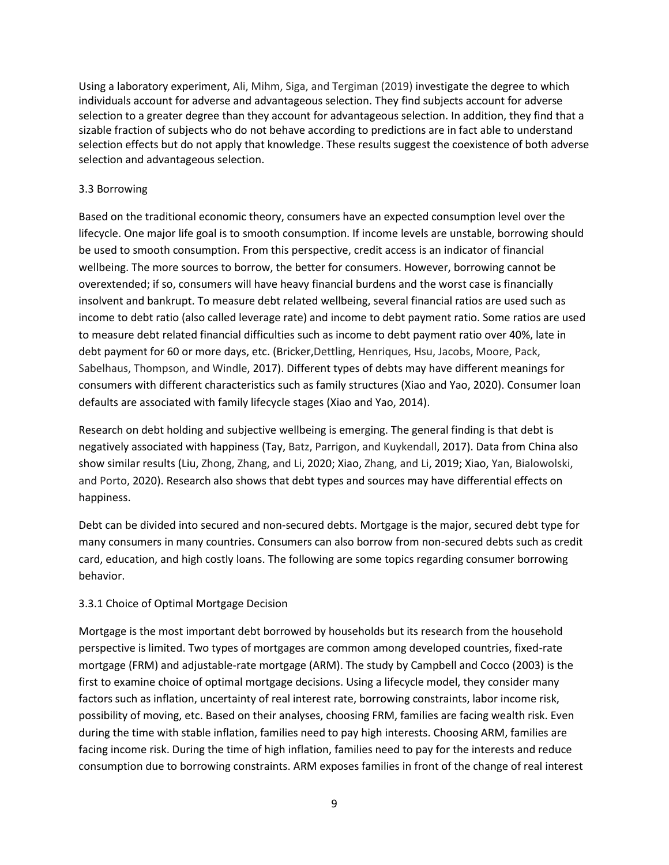Using a laboratory experiment, Ali, Mihm, Siga, and Tergiman (2019) investigate the degree to which individuals account for adverse and advantageous selection. They find subjects account for adverse selection to a greater degree than they account for advantageous selection. In addition, they find that a sizable fraction of subjects who do not behave according to predictions are in fact able to understand selection effects but do not apply that knowledge. These results suggest the coexistence of both adverse selection and advantageous selection.

## 3.3 Borrowing

Based on the traditional economic theory, consumers have an expected consumption level over the lifecycle. One major life goal is to smooth consumption. If income levels are unstable, borrowing should be used to smooth consumption. From this perspective, credit access is an indicator of financial wellbeing. The more sources to borrow, the better for consumers. However, borrowing cannot be overextended; if so, consumers will have heavy financial burdens and the worst case is financially insolvent and bankrupt. To measure debt related wellbeing, several financial ratios are used such as income to debt ratio (also called leverage rate) and income to debt payment ratio. Some ratios are used to measure debt related financial difficulties such as income to debt payment ratio over 40%, late in debt payment for 60 or more days, etc. (Bricker,Dettling, Henriques, Hsu, Jacobs, Moore, Pack, Sabelhaus, Thompson, and Windle, 2017). Different types of debts may have different meanings for consumers with different characteristics such as family structures (Xiao and Yao, 2020). Consumer loan defaults are associated with family lifecycle stages (Xiao and Yao, 2014).

Research on debt holding and subjective wellbeing is emerging. The general finding is that debt is negatively associated with happiness (Tay, Batz, Parrigon, and Kuykendall, 2017). Data from China also show similar results (Liu, Zhong, Zhang, and Li, 2020; Xiao, Zhang, and Li, 2019; Xiao, Yan, Bialowolski, and Porto, 2020). Research also shows that debt types and sources may have differential effects on happiness.

Debt can be divided into secured and non-secured debts. Mortgage is the major, secured debt type for many consumers in many countries. Consumers can also borrow from non-secured debts such as credit card, education, and high costly loans. The following are some topics regarding consumer borrowing behavior.

## 3.3.1 Choice of Optimal Mortgage Decision

Mortgage is the most important debt borrowed by households but its research from the household perspective is limited. Two types of mortgages are common among developed countries, fixed-rate mortgage (FRM) and adjustable-rate mortgage (ARM). The study by Campbell and Cocco (2003) is the first to examine choice of optimal mortgage decisions. Using a lifecycle model, they consider many factors such as inflation, uncertainty of real interest rate, borrowing constraints, labor income risk, possibility of moving, etc. Based on their analyses, choosing FRM, families are facing wealth risk. Even during the time with stable inflation, families need to pay high interests. Choosing ARM, families are facing income risk. During the time of high inflation, families need to pay for the interests and reduce consumption due to borrowing constraints. ARM exposes families in front of the change of real interest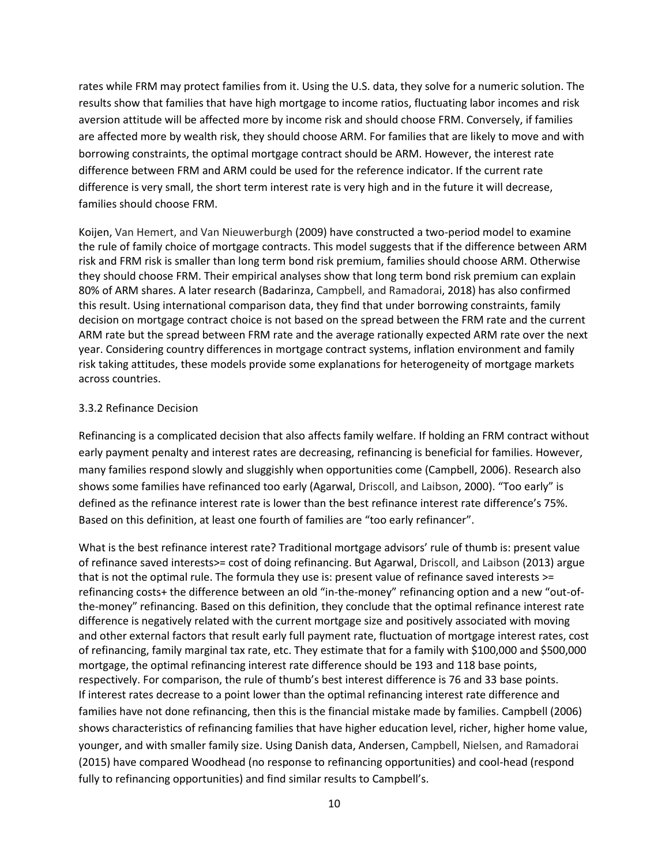rates while FRM may protect families from it. Using the U.S. data, they solve for a numeric solution. The results show that families that have high mortgage to income ratios, fluctuating labor incomes and risk aversion attitude will be affected more by income risk and should choose FRM. Conversely, if families are affected more by wealth risk, they should choose ARM. For families that are likely to move and with borrowing constraints, the optimal mortgage contract should be ARM. However, the interest rate difference between FRM and ARM could be used for the reference indicator. If the current rate difference is very small, the short term interest rate is very high and in the future it will decrease, families should choose FRM.

Koijen, Van Hemert, and Van Nieuwerburgh (2009) have constructed a two-period model to examine the rule of family choice of mortgage contracts. This model suggests that if the difference between ARM risk and FRM risk is smaller than long term bond risk premium, families should choose ARM. Otherwise they should choose FRM. Their empirical analyses show that long term bond risk premium can explain 80% of ARM shares. A later research (Badarinza, Campbell, and Ramadorai, 2018) has also confirmed this result. Using international comparison data, they find that under borrowing constraints, family decision on mortgage contract choice is not based on the spread between the FRM rate and the current ARM rate but the spread between FRM rate and the average rationally expected ARM rate over the next year. Considering country differences in mortgage contract systems, inflation environment and family risk taking attitudes, these models provide some explanations for heterogeneity of mortgage markets across countries.

#### 3.3.2 Refinance Decision

Refinancing is a complicated decision that also affects family welfare. If holding an FRM contract without early payment penalty and interest rates are decreasing, refinancing is beneficial for families. However, many families respond slowly and sluggishly when opportunities come (Campbell, 2006). Research also shows some families have refinanced too early (Agarwal, Driscoll, and Laibson, 2000). "Too early" is defined as the refinance interest rate is lower than the best refinance interest rate difference's 75%. Based on this definition, at least one fourth of families are "too early refinancer".

What is the best refinance interest rate? Traditional mortgage advisors' rule of thumb is: present value of refinance saved interests>= cost of doing refinancing. But Agarwal, Driscoll, and Laibson (2013) argue that is not the optimal rule. The formula they use is: present value of refinance saved interests >= refinancing costs+ the difference between an old "in-the-money" refinancing option and a new "out-ofthe-money" refinancing. Based on this definition, they conclude that the optimal refinance interest rate difference is negatively related with the current mortgage size and positively associated with moving and other external factors that result early full payment rate, fluctuation of mortgage interest rates, cost of refinancing, family marginal tax rate, etc. They estimate that for a family with \$100,000 and \$500,000 mortgage, the optimal refinancing interest rate difference should be 193 and 118 base points, respectively. For comparison, the rule of thumb's best interest difference is 76 and 33 base points. If interest rates decrease to a point lower than the optimal refinancing interest rate difference and families have not done refinancing, then this is the financial mistake made by families. Campbell (2006) shows characteristics of refinancing families that have higher education level, richer, higher home value, younger, and with smaller family size. Using Danish data, Andersen, Campbell, Nielsen, and Ramadorai (2015) have compared Woodhead (no response to refinancing opportunities) and cool-head (respond fully to refinancing opportunities) and find similar results to Campbell's.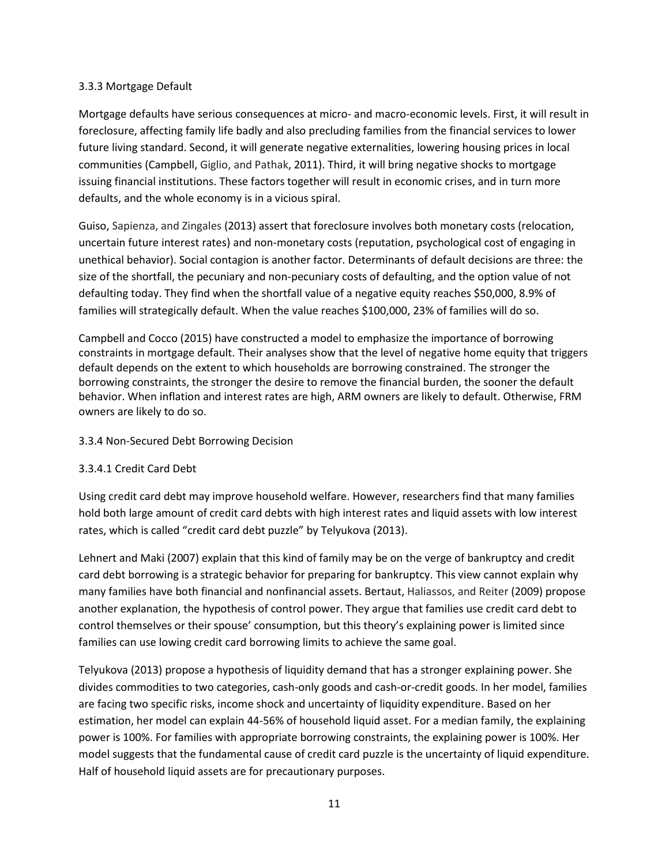## 3.3.3 Mortgage Default

Mortgage defaults have serious consequences at micro- and macro-economic levels. First, it will result in foreclosure, affecting family life badly and also precluding families from the financial services to lower future living standard. Second, it will generate negative externalities, lowering housing prices in local communities (Campbell, Giglio, and Pathak, 2011). Third, it will bring negative shocks to mortgage issuing financial institutions. These factors together will result in economic crises, and in turn more defaults, and the whole economy is in a vicious spiral.

Guiso, Sapienza, and Zingales (2013) assert that foreclosure involves both monetary costs (relocation, uncertain future interest rates) and non-monetary costs (reputation, psychological cost of engaging in unethical behavior). Social contagion is another factor. Determinants of default decisions are three: the size of the shortfall, the pecuniary and non-pecuniary costs of defaulting, and the option value of not defaulting today. They find when the shortfall value of a negative equity reaches \$50,000, 8.9% of families will strategically default. When the value reaches \$100,000, 23% of families will do so.

Campbell and Cocco (2015) have constructed a model to emphasize the importance of borrowing constraints in mortgage default. Their analyses show that the level of negative home equity that triggers default depends on the extent to which households are borrowing constrained. The stronger the borrowing constraints, the stronger the desire to remove the financial burden, the sooner the default behavior. When inflation and interest rates are high, ARM owners are likely to default. Otherwise, FRM owners are likely to do so.

## 3.3.4 Non-Secured Debt Borrowing Decision

## 3.3.4.1 Credit Card Debt

Using credit card debt may improve household welfare. However, researchers find that many families hold both large amount of credit card debts with high interest rates and liquid assets with low interest rates, which is called "credit card debt puzzle" by Telyukova (2013).

Lehnert and Maki (2007) explain that this kind of family may be on the verge of bankruptcy and credit card debt borrowing is a strategic behavior for preparing for bankruptcy. This view cannot explain why many families have both financial and nonfinancial assets. Bertaut, Haliassos, and Reiter (2009) propose another explanation, the hypothesis of control power. They argue that families use credit card debt to control themselves or their spouse' consumption, but this theory's explaining power is limited since families can use lowing credit card borrowing limits to achieve the same goal.

Telyukova (2013) propose a hypothesis of liquidity demand that has a stronger explaining power. She divides commodities to two categories, cash-only goods and cash-or-credit goods. In her model, families are facing two specific risks, income shock and uncertainty of liquidity expenditure. Based on her estimation, her model can explain 44-56% of household liquid asset. For a median family, the explaining power is 100%. For families with appropriate borrowing constraints, the explaining power is 100%. Her model suggests that the fundamental cause of credit card puzzle is the uncertainty of liquid expenditure. Half of household liquid assets are for precautionary purposes.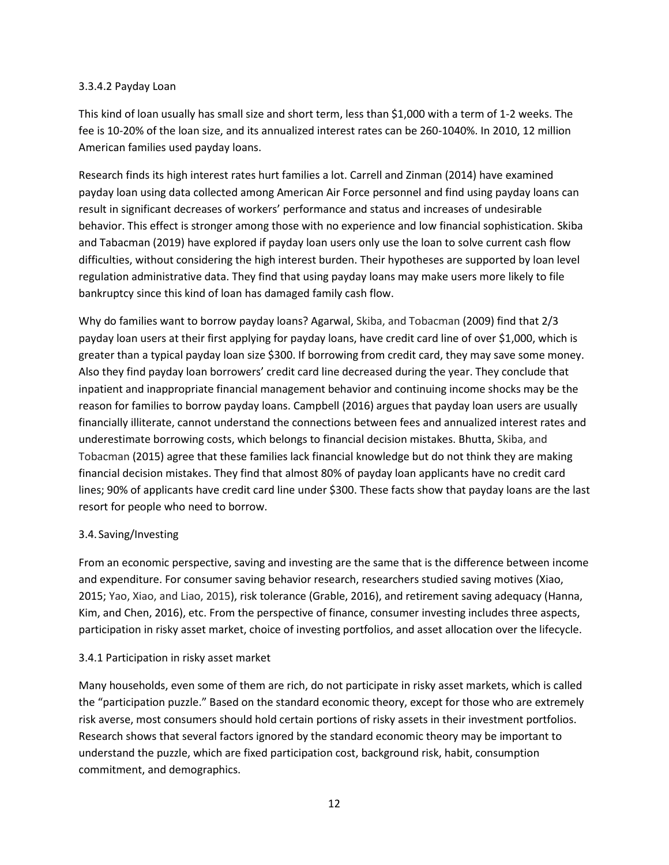#### 3.3.4.2 Payday Loan

This kind of loan usually has small size and short term, less than \$1,000 with a term of 1-2 weeks. The fee is 10-20% of the loan size, and its annualized interest rates can be 260-1040%. In 2010, 12 million American families used payday loans.

Research finds its high interest rates hurt families a lot. Carrell and Zinman (2014) have examined payday loan using data collected among American Air Force personnel and find using payday loans can result in significant decreases of workers' performance and status and increases of undesirable behavior. This effect is stronger among those with no experience and low financial sophistication. Skiba and Tabacman (2019) have explored if payday loan users only use the loan to solve current cash flow difficulties, without considering the high interest burden. Their hypotheses are supported by loan level regulation administrative data. They find that using payday loans may make users more likely to file bankruptcy since this kind of loan has damaged family cash flow.

Why do families want to borrow payday loans? Agarwal, Skiba, and Tobacman (2009) find that 2/3 payday loan users at their first applying for payday loans, have credit card line of over \$1,000, which is greater than a typical payday loan size \$300. If borrowing from credit card, they may save some money. Also they find payday loan borrowers' credit card line decreased during the year. They conclude that inpatient and inappropriate financial management behavior and continuing income shocks may be the reason for families to borrow payday loans. Campbell (2016) argues that payday loan users are usually financially illiterate, cannot understand the connections between fees and annualized interest rates and underestimate borrowing costs, which belongs to financial decision mistakes. Bhutta, Skiba, and Tobacman (2015) agree that these families lack financial knowledge but do not think they are making financial decision mistakes. They find that almost 80% of payday loan applicants have no credit card lines; 90% of applicants have credit card line under \$300. These facts show that payday loans are the last resort for people who need to borrow.

## 3.4.Saving/Investing

From an economic perspective, saving and investing are the same that is the difference between income and expenditure. For consumer saving behavior research, researchers studied saving motives (Xiao, 2015; Yao, Xiao, and Liao, 2015), risk tolerance (Grable, 2016), and retirement saving adequacy (Hanna, Kim, and Chen, 2016), etc. From the perspective of finance, consumer investing includes three aspects, participation in risky asset market, choice of investing portfolios, and asset allocation over the lifecycle.

## 3.4.1 Participation in risky asset market

Many households, even some of them are rich, do not participate in risky asset markets, which is called the "participation puzzle." Based on the standard economic theory, except for those who are extremely risk averse, most consumers should hold certain portions of risky assets in their investment portfolios. Research shows that several factors ignored by the standard economic theory may be important to understand the puzzle, which are fixed participation cost, background risk, habit, consumption commitment, and demographics.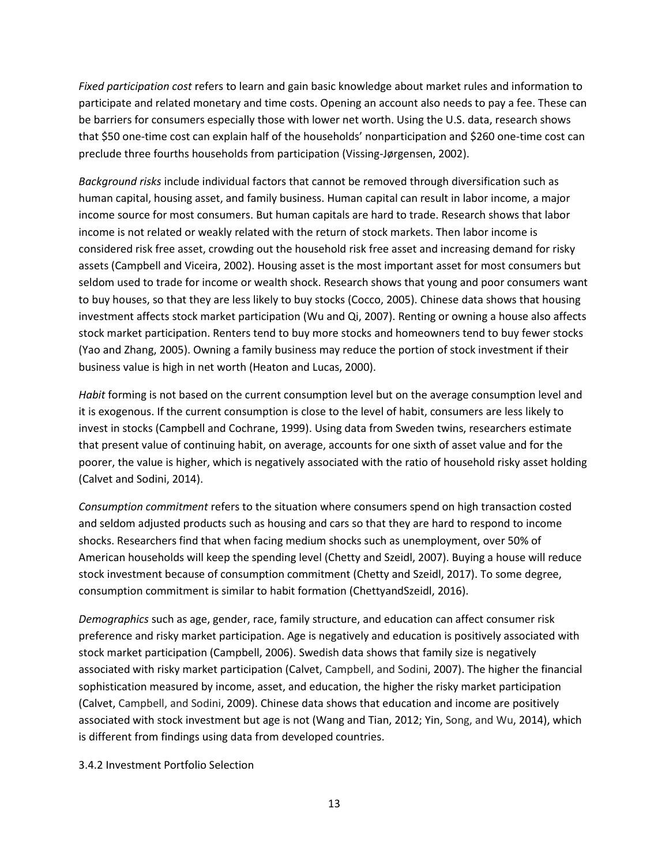*Fixed participation cost* refers to learn and gain basic knowledge about market rules and information to participate and related monetary and time costs. Opening an account also needs to pay a fee. These can be barriers for consumers especially those with lower net worth. Using the U.S. data, research shows that \$50 one-time cost can explain half of the households' nonparticipation and \$260 one-time cost can preclude three fourths households from participation (Vissing-Jørgensen, 2002).

*Background risks* include individual factors that cannot be removed through diversification such as human capital, housing asset, and family business. Human capital can result in labor income, a major income source for most consumers. But human capitals are hard to trade. Research shows that labor income is not related or weakly related with the return of stock markets. Then labor income is considered risk free asset, crowding out the household risk free asset and increasing demand for risky assets (Campbell and Viceira, 2002). Housing asset is the most important asset for most consumers but seldom used to trade for income or wealth shock. Research shows that young and poor consumers want to buy houses, so that they are less likely to buy stocks (Cocco, 2005). Chinese data shows that housing investment affects stock market participation (Wu and Qi, 2007). Renting or owning a house also affects stock market participation. Renters tend to buy more stocks and homeowners tend to buy fewer stocks (Yao and Zhang, 2005). Owning a family business may reduce the portion of stock investment if their business value is high in net worth (Heaton and Lucas, 2000).

*Habit* forming is not based on the current consumption level but on the average consumption level and it is exogenous. If the current consumption is close to the level of habit, consumers are less likely to invest in stocks (Campbell and Cochrane, 1999). Using data from Sweden twins, researchers estimate that present value of continuing habit, on average, accounts for one sixth of asset value and for the poorer, the value is higher, which is negatively associated with the ratio of household risky asset holding (Calvet and Sodini, 2014).

*Consumption commitment* refers to the situation where consumers spend on high transaction costed and seldom adjusted products such as housing and cars so that they are hard to respond to income shocks. Researchers find that when facing medium shocks such as unemployment, over 50% of American households will keep the spending level (Chetty and Szeidl, 2007). Buying a house will reduce stock investment because of consumption commitment (Chetty and Szeidl, 2017). To some degree, consumption commitment is similar to habit formation (ChettyandSzeidl, 2016).

*Demographics* such as age, gender, race, family structure, and education can affect consumer risk preference and risky market participation. Age is negatively and education is positively associated with stock market participation (Campbell, 2006). Swedish data shows that family size is negatively associated with risky market participation (Calvet, Campbell, and Sodini, 2007). The higher the financial sophistication measured by income, asset, and education, the higher the risky market participation (Calvet, Campbell, and Sodini, 2009). Chinese data shows that education and income are positively associated with stock investment but age is not (Wang and Tian, 2012; Yin, Song, and Wu, 2014), which is different from findings using data from developed countries.

#### 3.4.2 Investment Portfolio Selection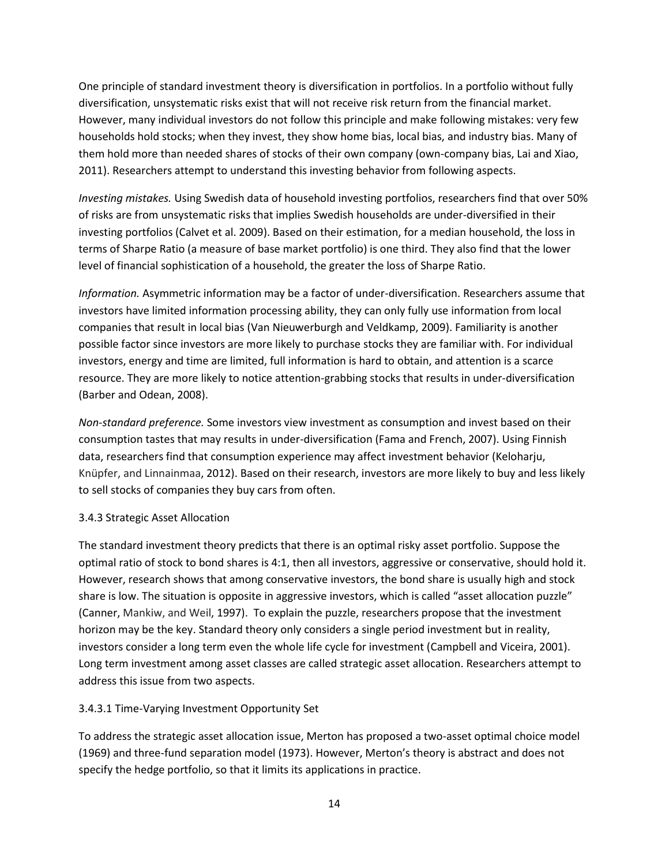One principle of standard investment theory is diversification in portfolios. In a portfolio without fully diversification, unsystematic risks exist that will not receive risk return from the financial market. However, many individual investors do not follow this principle and make following mistakes: very few households hold stocks; when they invest, they show home bias, local bias, and industry bias. Many of them hold more than needed shares of stocks of their own company (own-company bias, Lai and Xiao, 2011). Researchers attempt to understand this investing behavior from following aspects.

*Investing mistakes.* Using Swedish data of household investing portfolios, researchers find that over 50% of risks are from unsystematic risks that implies Swedish households are under-diversified in their investing portfolios (Calvet et al. 2009). Based on their estimation, for a median household, the loss in terms of Sharpe Ratio (a measure of base market portfolio) is one third. They also find that the lower level of financial sophistication of a household, the greater the loss of Sharpe Ratio.

*Information.* Asymmetric information may be a factor of under-diversification. Researchers assume that investors have limited information processing ability, they can only fully use information from local companies that result in local bias (Van Nieuwerburgh and Veldkamp, 2009). Familiarity is another possible factor since investors are more likely to purchase stocks they are familiar with. For individual investors, energy and time are limited, full information is hard to obtain, and attention is a scarce resource. They are more likely to notice attention-grabbing stocks that results in under-diversification (Barber and Odean, 2008).

*Non-standard preference.* Some investors view investment as consumption and invest based on their consumption tastes that may results in under-diversification (Fama and French, 2007). Using Finnish data, researchers find that consumption experience may affect investment behavior (Keloharju, Knüpfer, and Linnainmaa, 2012). Based on their research, investors are more likely to buy and less likely to sell stocks of companies they buy cars from often.

## 3.4.3 Strategic Asset Allocation

The standard investment theory predicts that there is an optimal risky asset portfolio. Suppose the optimal ratio of stock to bond shares is 4:1, then all investors, aggressive or conservative, should hold it. However, research shows that among conservative investors, the bond share is usually high and stock share is low. The situation is opposite in aggressive investors, which is called "asset allocation puzzle" (Canner, Mankiw, and Weil, 1997). To explain the puzzle, researchers propose that the investment horizon may be the key. Standard theory only considers a single period investment but in reality, investors consider a long term even the whole life cycle for investment (Campbell and Viceira, 2001). Long term investment among asset classes are called strategic asset allocation. Researchers attempt to address this issue from two aspects.

## 3.4.3.1 Time-Varying Investment Opportunity Set

To address the strategic asset allocation issue, Merton has proposed a two-asset optimal choice model (1969) and three-fund separation model (1973). However, Merton's theory is abstract and does not specify the hedge portfolio, so that it limits its applications in practice.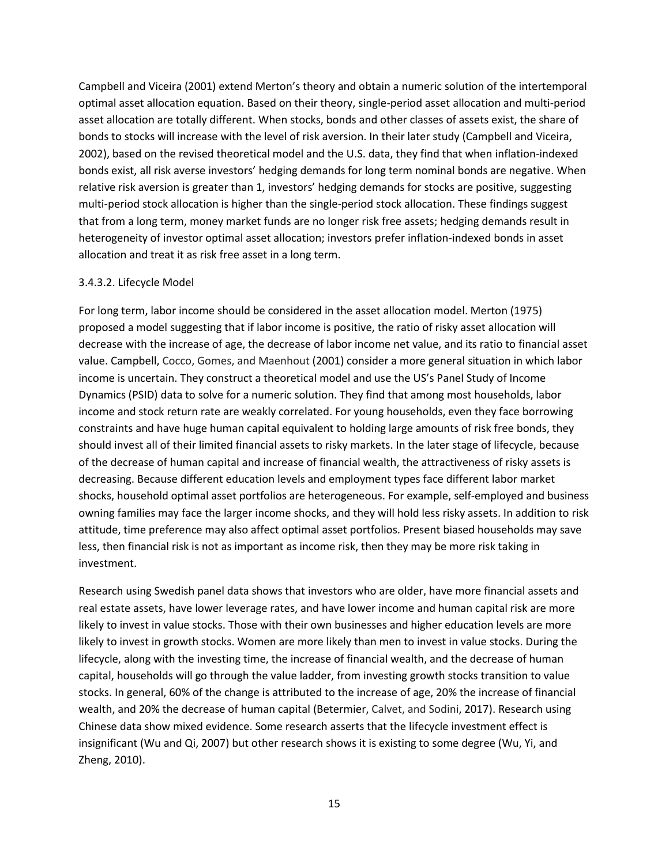Campbell and Viceira (2001) extend Merton's theory and obtain a numeric solution of the intertemporal optimal asset allocation equation. Based on their theory, single-period asset allocation and multi-period asset allocation are totally different. When stocks, bonds and other classes of assets exist, the share of bonds to stocks will increase with the level of risk aversion. In their later study (Campbell and Viceira, 2002), based on the revised theoretical model and the U.S. data, they find that when inflation-indexed bonds exist, all risk averse investors' hedging demands for long term nominal bonds are negative. When relative risk aversion is greater than 1, investors' hedging demands for stocks are positive, suggesting multi-period stock allocation is higher than the single-period stock allocation. These findings suggest that from a long term, money market funds are no longer risk free assets; hedging demands result in heterogeneity of investor optimal asset allocation; investors prefer inflation-indexed bonds in asset allocation and treat it as risk free asset in a long term.

#### 3.4.3.2. Lifecycle Model

For long term, labor income should be considered in the asset allocation model. Merton (1975) proposed a model suggesting that if labor income is positive, the ratio of risky asset allocation will decrease with the increase of age, the decrease of labor income net value, and its ratio to financial asset value. Campbell, Cocco, Gomes, and Maenhout (2001) consider a more general situation in which labor income is uncertain. They construct a theoretical model and use the US's Panel Study of Income Dynamics (PSID) data to solve for a numeric solution. They find that among most households, labor income and stock return rate are weakly correlated. For young households, even they face borrowing constraints and have huge human capital equivalent to holding large amounts of risk free bonds, they should invest all of their limited financial assets to risky markets. In the later stage of lifecycle, because of the decrease of human capital and increase of financial wealth, the attractiveness of risky assets is decreasing. Because different education levels and employment types face different labor market shocks, household optimal asset portfolios are heterogeneous. For example, self-employed and business owning families may face the larger income shocks, and they will hold less risky assets. In addition to risk attitude, time preference may also affect optimal asset portfolios. Present biased households may save less, then financial risk is not as important as income risk, then they may be more risk taking in investment.

Research using Swedish panel data shows that investors who are older, have more financial assets and real estate assets, have lower leverage rates, and have lower income and human capital risk are more likely to invest in value stocks. Those with their own businesses and higher education levels are more likely to invest in growth stocks. Women are more likely than men to invest in value stocks. During the lifecycle, along with the investing time, the increase of financial wealth, and the decrease of human capital, households will go through the value ladder, from investing growth stocks transition to value stocks. In general, 60% of the change is attributed to the increase of age, 20% the increase of financial wealth, and 20% the decrease of human capital (Betermier, Calvet, and Sodini, 2017). Research using Chinese data show mixed evidence. Some research asserts that the lifecycle investment effect is insignificant (Wu and Qi, 2007) but other research shows it is existing to some degree (Wu, Yi, and Zheng, 2010).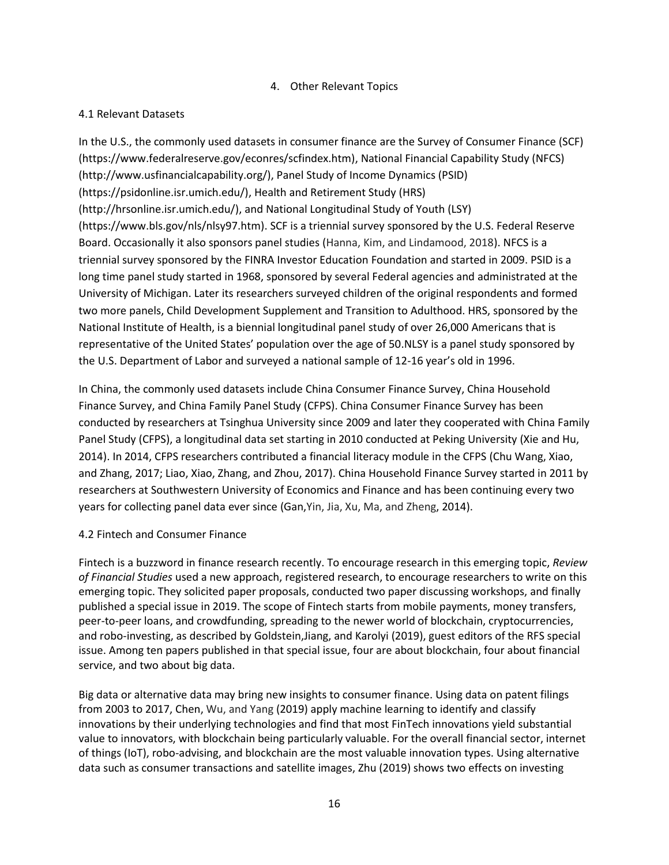## 4. Other Relevant Topics

## 4.1 Relevant Datasets

In the U.S., the commonly used datasets in consumer finance are the Survey of Consumer Finance (SCF) (https://www.federalreserve.gov/econres/scfindex.htm), National Financial Capability Study (NFCS) (http://www.usfinancialcapability.org/), Panel Study of Income Dynamics (PSID) (https://psidonline.isr.umich.edu/), Health and Retirement Study (HRS) (http://hrsonline.isr.umich.edu/), and National Longitudinal Study of Youth (LSY) (https://www.bls.gov/nls/nlsy97.htm). SCF is a triennial survey sponsored by the U.S. Federal Reserve Board. Occasionally it also sponsors panel studies (Hanna, Kim, and Lindamood, 2018). NFCS is a triennial survey sponsored by the FINRA Investor Education Foundation and started in 2009. PSID is a long time panel study started in 1968, sponsored by several Federal agencies and administrated at the University of Michigan. Later its researchers surveyed children of the original respondents and formed two more panels, Child Development Supplement and Transition to Adulthood. HRS, sponsored by the National Institute of Health, is a biennial longitudinal panel study of over 26,000 Americans that is representative of the United States' population over the age of 50.NLSY is a panel study sponsored by the U.S. Department of Labor and surveyed a national sample of 12-16 year's old in 1996.

In China, the commonly used datasets include China Consumer Finance Survey, China Household Finance Survey, and China Family Panel Study (CFPS). China Consumer Finance Survey has been conducted by researchers at Tsinghua University since 2009 and later they cooperated with China Family Panel Study (CFPS), a longitudinal data set starting in 2010 conducted at Peking University (Xie and Hu, 2014). In 2014, CFPS researchers contributed a financial literacy module in the CFPS (Chu Wang, Xiao, and Zhang, 2017; Liao, Xiao, Zhang, and Zhou, 2017). China Household Finance Survey started in 2011 by researchers at Southwestern University of Economics and Finance and has been continuing every two years for collecting panel data ever since (Gan,Yin, Jia, Xu, Ma, and Zheng, 2014).

## 4.2 Fintech and Consumer Finance

Fintech is a buzzword in finance research recently. To encourage research in this emerging topic, *Review of Financial Studies* used a new approach, registered research, to encourage researchers to write on this emerging topic. They solicited paper proposals, conducted two paper discussing workshops, and finally published a special issue in 2019. The scope of Fintech starts from mobile payments, money transfers, peer-to-peer loans, and crowdfunding, spreading to the newer world of blockchain, cryptocurrencies, and robo-investing, as described by Goldstein,Jiang, and Karolyi (2019), guest editors of the RFS special issue. Among ten papers published in that special issue, four are about blockchain, four about financial service, and two about big data.

Big data or alternative data may bring new insights to consumer finance. Using data on patent filings from 2003 to 2017, Chen, Wu, and Yang (2019) apply machine learning to identify and classify innovations by their underlying technologies and find that most FinTech innovations yield substantial value to innovators, with blockchain being particularly valuable. For the overall financial sector, internet of things (IoT), robo-advising, and blockchain are the most valuable innovation types. Using alternative data such as consumer transactions and satellite images, Zhu (2019) shows two effects on investing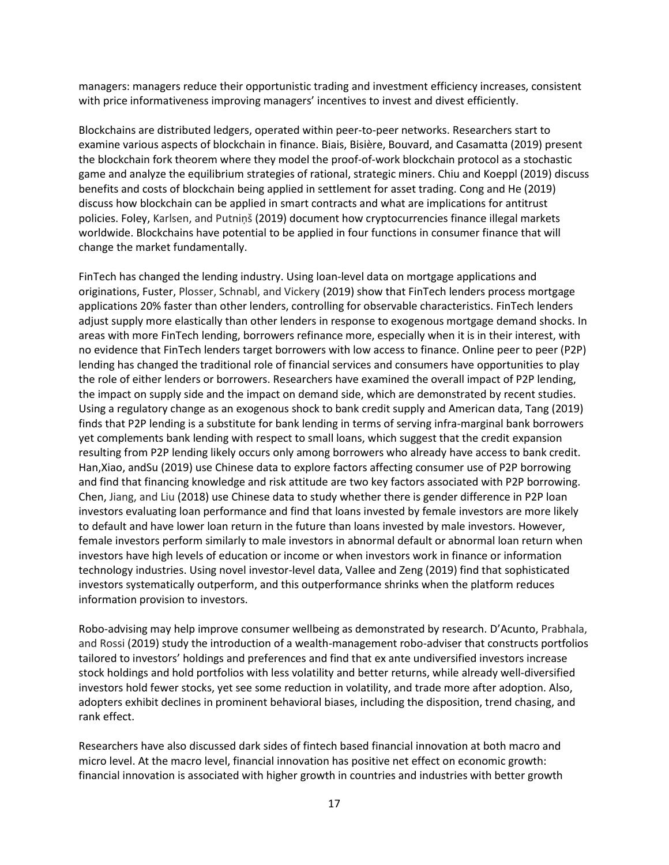managers: managers reduce their opportunistic trading and investment efficiency increases, consistent with price informativeness improving managers' incentives to invest and divest efficiently.

Blockchains are distributed ledgers, operated within peer-to-peer networks. Researchers start to examine various aspects of blockchain in finance. Biais, Bisière, Bouvard, and Casamatta (2019) present the blockchain fork theorem where they model the proof-of-work blockchain protocol as a stochastic game and analyze the equilibrium strategies of rational, strategic miners. Chiu and Koeppl (2019) discuss benefits and costs of blockchain being applied in settlement for asset trading. Cong and He (2019) discuss how blockchain can be applied in smart contracts and what are implications for antitrust policies. Foley, Karlsen, and Putniņš (2019) document how cryptocurrencies finance illegal markets worldwide. Blockchains have potential to be applied in four functions in consumer finance that will change the market fundamentally.

FinTech has changed the lending industry. Using loan-level data on mortgage applications and originations, Fuster, Plosser, Schnabl, and Vickery (2019) show that FinTech lenders process mortgage applications 20% faster than other lenders, controlling for observable characteristics. FinTech lenders adjust supply more elastically than other lenders in response to exogenous mortgage demand shocks. In areas with more FinTech lending, borrowers refinance more, especially when it is in their interest, with no evidence that FinTech lenders target borrowers with low access to finance. Online peer to peer (P2P) lending has changed the traditional role of financial services and consumers have opportunities to play the role of either lenders or borrowers. Researchers have examined the overall impact of P2P lending, the impact on supply side and the impact on demand side, which are demonstrated by recent studies. Using a regulatory change as an exogenous shock to bank credit supply and American data, Tang (2019) finds that P2P lending is a substitute for bank lending in terms of serving infra-marginal bank borrowers yet complements bank lending with respect to small loans, which suggest that the credit expansion resulting from P2P lending likely occurs only among borrowers who already have access to bank credit. Han,Xiao, andSu (2019) use Chinese data to explore factors affecting consumer use of P2P borrowing and find that financing knowledge and risk attitude are two key factors associated with P2P borrowing. Chen, Jiang, and Liu (2018) use Chinese data to study whether there is gender difference in P2P loan investors evaluating loan performance and find that loans invested by female investors are more likely to default and have lower loan return in the future than loans invested by male investors. However, female investors perform similarly to male investors in abnormal default or abnormal loan return when investors have high levels of education or income or when investors work in finance or information technology industries. Using novel investor-level data, Vallee and Zeng (2019) find that sophisticated investors systematically outperform, and this outperformance shrinks when the platform reduces information provision to investors.

Robo-advising may help improve consumer wellbeing as demonstrated by research. D'Acunto, Prabhala, and Rossi (2019) study the introduction of a wealth-management robo-adviser that constructs portfolios tailored to investors' holdings and preferences and find that ex ante undiversified investors increase stock holdings and hold portfolios with less volatility and better returns, while already well-diversified investors hold fewer stocks, yet see some reduction in volatility, and trade more after adoption. Also, adopters exhibit declines in prominent behavioral biases, including the disposition, trend chasing, and rank effect.

Researchers have also discussed dark sides of fintech based financial innovation at both macro and micro level. At the macro level, financial innovation has positive net effect on economic growth: financial innovation is associated with higher growth in countries and industries with better growth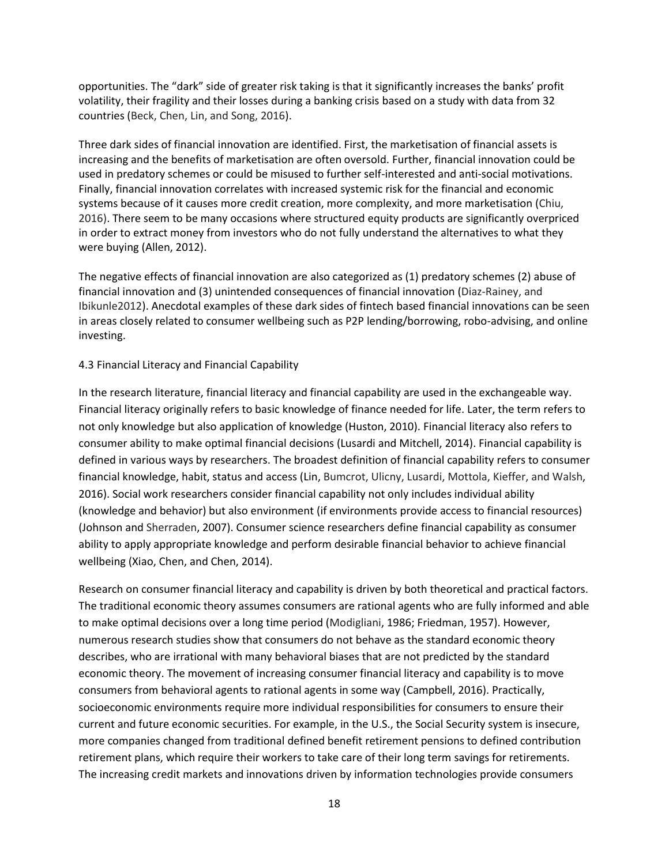opportunities. The "dark" side of greater risk taking is that it significantly increases the banks' profit volatility, their fragility and their losses during a banking crisis based on a study with data from 32 countries (Beck, Chen, Lin, and Song, 2016).

Three dark sides of financial innovation are identified. First, the marketisation of financial assets is increasing and the benefits of marketisation are often oversold. Further, financial innovation could be used in predatory schemes or could be misused to further self-interested and anti-social motivations. Finally, financial innovation correlates with increased systemic risk for the financial and economic systems because of it causes more credit creation, more complexity, and more marketisation (Chiu, 2016). There seem to be many occasions where structured equity products are significantly overpriced in order to extract money from investors who do not fully understand the alternatives to what they were buying (Allen, 2012).

The negative effects of financial innovation are also categorized as (1) predatory schemes (2) abuse of financial innovation and (3) unintended consequences of financial innovation (Diaz-Rainey, and Ibikunle2012). Anecdotal examples of these dark sides of fintech based financial innovations can be seen in areas closely related to consumer wellbeing such as P2P lending/borrowing, robo-advising, and online investing.

#### 4.3 Financial Literacy and Financial Capability

In the research literature, financial literacy and financial capability are used in the exchangeable way. Financial literacy originally refers to basic knowledge of finance needed for life. Later, the term refers to not only knowledge but also application of knowledge (Huston, 2010). Financial literacy also refers to consumer ability to make optimal financial decisions (Lusardi and Mitchell, 2014). Financial capability is defined in various ways by researchers. The broadest definition of financial capability refers to consumer financial knowledge, habit, status and access (Lin, Bumcrot, Ulicny, Lusardi, Mottola, Kieffer, and Walsh, 2016). Social work researchers consider financial capability not only includes individual ability (knowledge and behavior) but also environment (if environments provide access to financial resources) (Johnson and Sherraden, 2007). Consumer science researchers define financial capability as consumer ability to apply appropriate knowledge and perform desirable financial behavior to achieve financial wellbeing (Xiao, Chen, and Chen, 2014).

Research on consumer financial literacy and capability is driven by both theoretical and practical factors. The traditional economic theory assumes consumers are rational agents who are fully informed and able to make optimal decisions over a long time period (Modigliani, 1986; Friedman, 1957). However, numerous research studies show that consumers do not behave as the standard economic theory describes, who are irrational with many behavioral biases that are not predicted by the standard economic theory. The movement of increasing consumer financial literacy and capability is to move consumers from behavioral agents to rational agents in some way (Campbell, 2016). Practically, socioeconomic environments require more individual responsibilities for consumers to ensure their current and future economic securities. For example, in the U.S., the Social Security system is insecure, more companies changed from traditional defined benefit retirement pensions to defined contribution retirement plans, which require their workers to take care of their long term savings for retirements. The increasing credit markets and innovations driven by information technologies provide consumers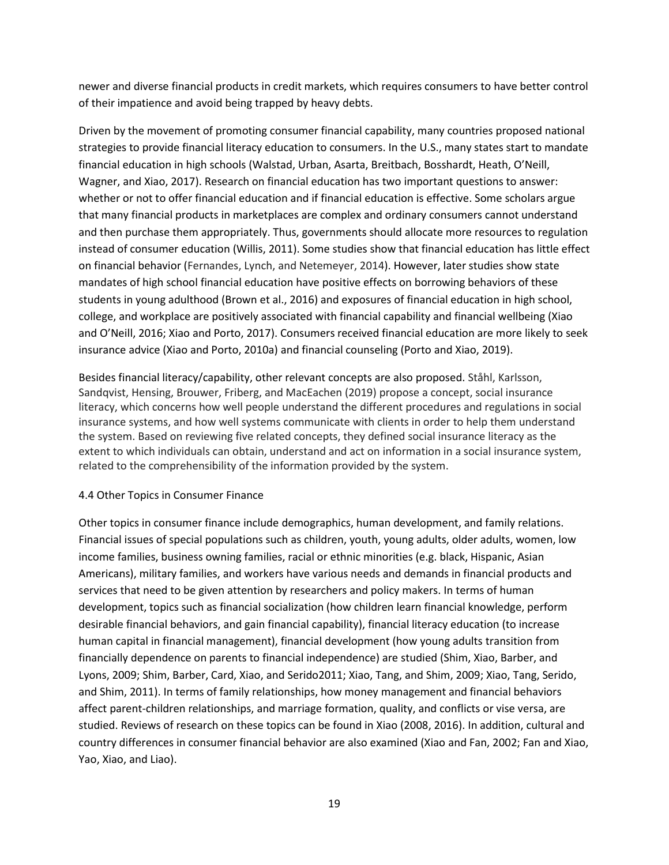newer and diverse financial products in credit markets, which requires consumers to have better control of their impatience and avoid being trapped by heavy debts.

Driven by the movement of promoting consumer financial capability, many countries proposed national strategies to provide financial literacy education to consumers. In the U.S., many states start to mandate financial education in high schools (Walstad, Urban, Asarta, Breitbach, Bosshardt, Heath, O'Neill, Wagner, and Xiao, 2017). Research on financial education has two important questions to answer: whether or not to offer financial education and if financial education is effective. Some scholars argue that many financial products in marketplaces are complex and ordinary consumers cannot understand and then purchase them appropriately. Thus, governments should allocate more resources to regulation instead of consumer education (Willis, 2011). Some studies show that financial education has little effect on financial behavior (Fernandes, Lynch, and Netemeyer, 2014). However, later studies show state mandates of high school financial education have positive effects on borrowing behaviors of these students in young adulthood (Brown et al., 2016) and exposures of financial education in high school, college, and workplace are positively associated with financial capability and financial wellbeing (Xiao and O'Neill, 2016; Xiao and Porto, 2017). Consumers received financial education are more likely to seek insurance advice (Xiao and Porto, 2010a) and financial counseling (Porto and Xiao, 2019).

Besides financial literacy/capability, other relevant concepts are also proposed. Ståhl, Karlsson, Sandqvist, Hensing, Brouwer, Friberg, and MacEachen (2019) propose a concept, social insurance literacy, which concerns how well people understand the different procedures and regulations in social insurance systems, and how well systems communicate with clients in order to help them understand the system. Based on reviewing five related concepts, they defined social insurance literacy as the extent to which individuals can obtain, understand and act on information in a social insurance system, related to the comprehensibility of the information provided by the system.

## 4.4 Other Topics in Consumer Finance

Other topics in consumer finance include demographics, human development, and family relations. Financial issues of special populations such as children, youth, young adults, older adults, women, low income families, business owning families, racial or ethnic minorities (e.g. black, Hispanic, Asian Americans), military families, and workers have various needs and demands in financial products and services that need to be given attention by researchers and policy makers. In terms of human development, topics such as financial socialization (how children learn financial knowledge, perform desirable financial behaviors, and gain financial capability), financial literacy education (to increase human capital in financial management), financial development (how young adults transition from financially dependence on parents to financial independence) are studied (Shim, Xiao, Barber, and Lyons, 2009; Shim, Barber, Card, Xiao, and Serido2011; Xiao, Tang, and Shim, 2009; Xiao, Tang, Serido, and Shim, 2011). In terms of family relationships, how money management and financial behaviors affect parent-children relationships, and marriage formation, quality, and conflicts or vise versa, are studied. Reviews of research on these topics can be found in Xiao (2008, 2016). In addition, cultural and country differences in consumer financial behavior are also examined (Xiao and Fan, 2002; Fan and Xiao, Yao, Xiao, and Liao).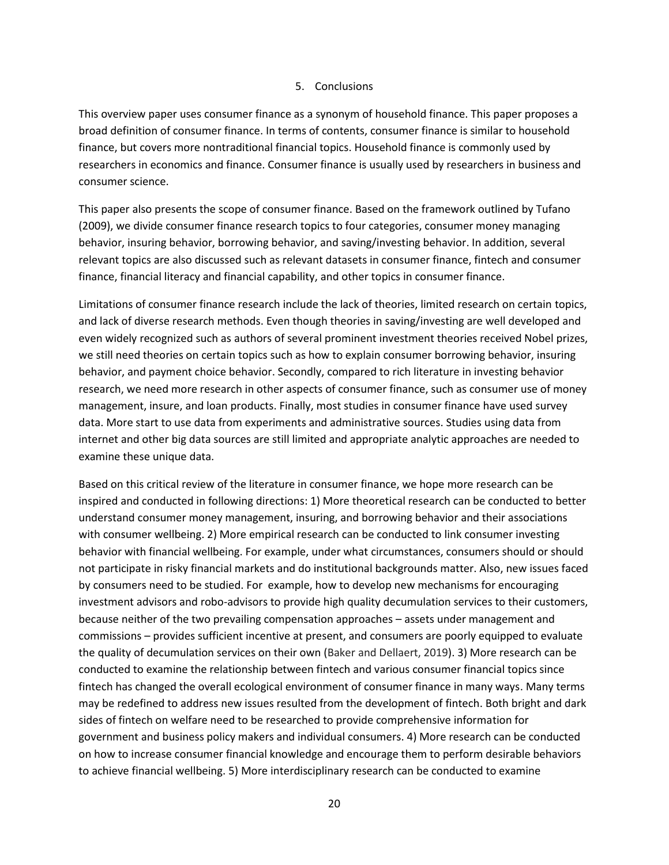#### 5. Conclusions

This overview paper uses consumer finance as a synonym of household finance. This paper proposes a broad definition of consumer finance. In terms of contents, consumer finance is similar to household finance, but covers more nontraditional financial topics. Household finance is commonly used by researchers in economics and finance. Consumer finance is usually used by researchers in business and consumer science.

This paper also presents the scope of consumer finance. Based on the framework outlined by Tufano (2009), we divide consumer finance research topics to four categories, consumer money managing behavior, insuring behavior, borrowing behavior, and saving/investing behavior. In addition, several relevant topics are also discussed such as relevant datasets in consumer finance, fintech and consumer finance, financial literacy and financial capability, and other topics in consumer finance.

Limitations of consumer finance research include the lack of theories, limited research on certain topics, and lack of diverse research methods. Even though theories in saving/investing are well developed and even widely recognized such as authors of several prominent investment theories received Nobel prizes, we still need theories on certain topics such as how to explain consumer borrowing behavior, insuring behavior, and payment choice behavior. Secondly, compared to rich literature in investing behavior research, we need more research in other aspects of consumer finance, such as consumer use of money management, insure, and loan products. Finally, most studies in consumer finance have used survey data. More start to use data from experiments and administrative sources. Studies using data from internet and other big data sources are still limited and appropriate analytic approaches are needed to examine these unique data.

Based on this critical review of the literature in consumer finance, we hope more research can be inspired and conducted in following directions: 1) More theoretical research can be conducted to better understand consumer money management, insuring, and borrowing behavior and their associations with consumer wellbeing. 2) More empirical research can be conducted to link consumer investing behavior with financial wellbeing. For example, under what circumstances, consumers should or should not participate in risky financial markets and do institutional backgrounds matter. Also, new issues faced by consumers need to be studied. For example, how to develop new mechanisms for encouraging investment advisors and robo-advisors to provide high quality decumulation services to their customers, because neither of the two prevailing compensation approaches – assets under management and commissions – provides sufficient incentive at present, and consumers are poorly equipped to evaluate the quality of decumulation services on their own (Baker and Dellaert, 2019). 3) More research can be conducted to examine the relationship between fintech and various consumer financial topics since fintech has changed the overall ecological environment of consumer finance in many ways. Many terms may be redefined to address new issues resulted from the development of fintech. Both bright and dark sides of fintech on welfare need to be researched to provide comprehensive information for government and business policy makers and individual consumers. 4) More research can be conducted on how to increase consumer financial knowledge and encourage them to perform desirable behaviors to achieve financial wellbeing. 5) More interdisciplinary research can be conducted to examine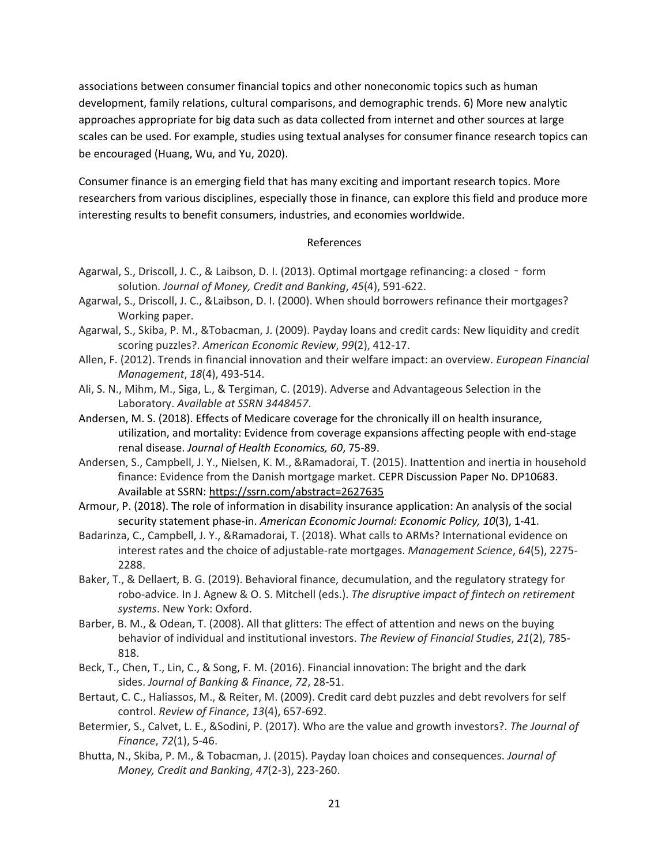associations between consumer financial topics and other noneconomic topics such as human development, family relations, cultural comparisons, and demographic trends. 6) More new analytic approaches appropriate for big data such as data collected from internet and other sources at large scales can be used. For example, studies using textual analyses for consumer finance research topics can be encouraged (Huang, Wu, and Yu, 2020).

Consumer finance is an emerging field that has many exciting and important research topics. More researchers from various disciplines, especially those in finance, can explore this field and produce more interesting results to benefit consumers, industries, and economies worldwide.

#### References

- Agarwal, S., Driscoll, J. C., & Laibson, D. I. (2013). Optimal mortgage refinancing: a closed form solution. *Journal of Money, Credit and Banking*, *45*(4), 591-622.
- Agarwal, S., Driscoll, J. C., &Laibson, D. I. (2000). When should borrowers refinance their mortgages? Working paper.
- Agarwal, S., Skiba, P. M., &Tobacman, J. (2009). Payday loans and credit cards: New liquidity and credit scoring puzzles?. *American Economic Review*, *99*(2), 412-17.
- Allen, F. (2012). Trends in financial innovation and their welfare impact: an overview. *European Financial Management*, *18*(4), 493-514.
- Ali, S. N., Mihm, M., Siga, L., & Tergiman, C. (2019). Adverse and Advantageous Selection in the Laboratory. *Available at SSRN 3448457*.
- Andersen, M. S. (2018). Effects of Medicare coverage for the chronically ill on health insurance, utilization, and mortality: Evidence from coverage expansions affecting people with end-stage renal disease. *Journal of Health Economics, 60*, 75-89.
- Andersen, S., Campbell, J. Y., Nielsen, K. M., &Ramadorai, T. (2015). Inattention and inertia in household finance: Evidence from the Danish mortgage market. CEPR Discussion Paper No. DP10683. Available at SSRN: <https://ssrn.com/abstract=2627635>
- Armour, P. (2018). The role of information in disability insurance application: An analysis of the social security statement phase-in. *American Economic Journal: Economic Policy, 10*(3), 1-41.
- Badarinza, C., Campbell, J. Y., &Ramadorai, T. (2018). What calls to ARMs? International evidence on interest rates and the choice of adjustable-rate mortgages. *Management Science*, *64*(5), 2275- 2288.
- Baker, T., & Dellaert, B. G. (2019). Behavioral finance, decumulation, and the regulatory strategy for robo-advice. In J. Agnew & O. S. Mitchell (eds.). *The disruptive impact of fintech on retirement systems*. New York: Oxford.
- Barber, B. M., & Odean, T. (2008). All that glitters: The effect of attention and news on the buying behavior of individual and institutional investors. *The Review of Financial Studies*, *21*(2), 785- 818.
- Beck, T., Chen, T., Lin, C., & Song, F. M. (2016). Financial innovation: The bright and the dark sides. *Journal of Banking & Finance*, *72*, 28-51.
- Bertaut, C. C., Haliassos, M., & Reiter, M. (2009). Credit card debt puzzles and debt revolvers for self control. *Review of Finance*, *13*(4), 657-692.
- Betermier, S., Calvet, L. E., &Sodini, P. (2017). Who are the value and growth investors?. *The Journal of Finance*, *72*(1), 5-46.
- Bhutta, N., Skiba, P. M., & Tobacman, J. (2015). Payday loan choices and consequences. *Journal of Money, Credit and Banking*, *47*(2-3), 223-260.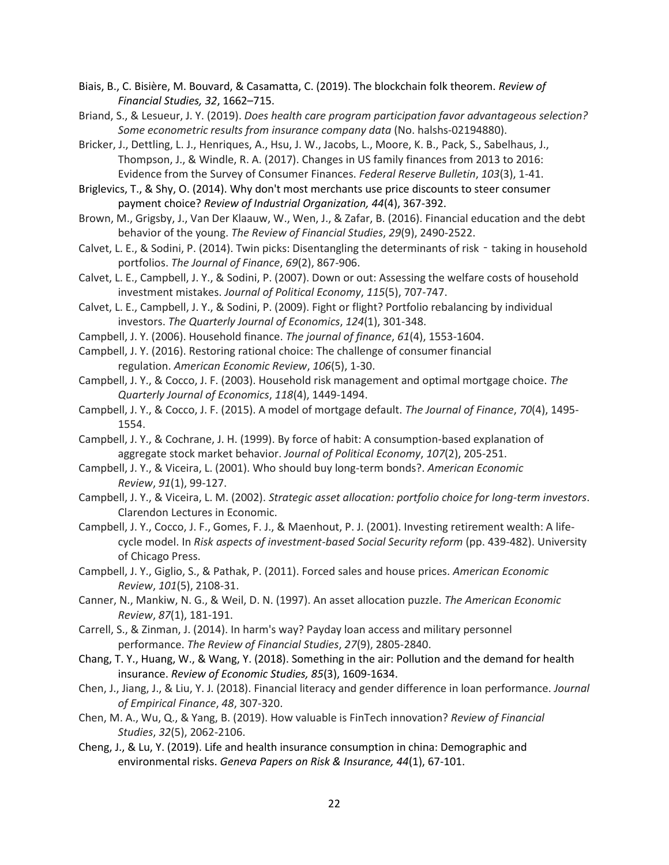Biais, B., C. Bisière, M. Bouvard, & Casamatta, C. (2019). The blockchain folk theorem. *Review of Financial Studies, 32*, 1662–715.

Briand, S., & Lesueur, J. Y. (2019). *Does health care program participation favor advantageous selection? Some econometric results from insurance company data* (No. halshs-02194880).

Bricker, J., Dettling, L. J., Henriques, A., Hsu, J. W., Jacobs, L., Moore, K. B., Pack, S., Sabelhaus, J., Thompson, J., & Windle, R. A. (2017). Changes in US family finances from 2013 to 2016: Evidence from the Survey of Consumer Finances. *Federal Reserve Bulletin*, *103*(3), 1-41.

Briglevics, T., & Shy, O. (2014). Why don't most merchants use price discounts to steer consumer payment choice? *Review of Industrial Organization, 44*(4), 367-392.

- Brown, M., Grigsby, J., Van Der Klaauw, W., Wen, J., & Zafar, B. (2016). Financial education and the debt behavior of the young. *The Review of Financial Studies*, *29*(9), 2490-2522.
- Calvet, L. E., & Sodini, P. (2014). Twin picks: Disentangling the determinants of risk taking in household portfolios. *The Journal of Finance*, *69*(2), 867-906.
- Calvet, L. E., Campbell, J. Y., & Sodini, P. (2007). Down or out: Assessing the welfare costs of household investment mistakes. *Journal of Political Economy*, *115*(5), 707-747.
- Calvet, L. E., Campbell, J. Y., & Sodini, P. (2009). Fight or flight? Portfolio rebalancing by individual investors. *The Quarterly Journal of Economics*, *124*(1), 301-348.
- Campbell, J. Y. (2006). Household finance. *The journal of finance*, *61*(4), 1553-1604.
- Campbell, J. Y. (2016). Restoring rational choice: The challenge of consumer financial regulation. *American Economic Review*, *106*(5), 1-30.

Campbell, J. Y., & Cocco, J. F. (2003). Household risk management and optimal mortgage choice. *The Quarterly Journal of Economics*, *118*(4), 1449-1494.

- Campbell, J. Y., & Cocco, J. F. (2015). A model of mortgage default. *The Journal of Finance*, *70*(4), 1495- 1554.
- Campbell, J. Y., & Cochrane, J. H. (1999). By force of habit: A consumption-based explanation of aggregate stock market behavior. *Journal of Political Economy*, *107*(2), 205-251.
- Campbell, J. Y., & Viceira, L. (2001). Who should buy long-term bonds?. *American Economic Review*, *91*(1), 99-127.
- Campbell, J. Y., & Viceira, L. M. (2002). *Strategic asset allocation: portfolio choice for long-term investors*. Clarendon Lectures in Economic.
- Campbell, J. Y., Cocco, J. F., Gomes, F. J., & Maenhout, P. J. (2001). Investing retirement wealth: A lifecycle model. In *Risk aspects of investment-based Social Security reform* (pp. 439-482). University of Chicago Press.
- Campbell, J. Y., Giglio, S., & Pathak, P. (2011). Forced sales and house prices. *American Economic Review*, *101*(5), 2108-31.
- Canner, N., Mankiw, N. G., & Weil, D. N. (1997). An asset allocation puzzle. *The American Economic Review*, *87*(1), 181-191.
- Carrell, S., & Zinman, J. (2014). In harm's way? Payday loan access and military personnel performance. *The Review of Financial Studies*, *27*(9), 2805-2840.
- Chang, T. Y., Huang, W., & Wang, Y. (2018). Something in the air: Pollution and the demand for health insurance. *Review of Economic Studies, 85*(3), 1609-1634.
- Chen, J., Jiang, J., & Liu, Y. J. (2018). Financial literacy and gender difference in loan performance. *Journal of Empirical Finance*, *48*, 307-320.
- Chen, M. A., Wu, Q., & Yang, B. (2019). How valuable is FinTech innovation? *Review of Financial Studies*, *32*(5), 2062-2106.
- Cheng, J., & Lu, Y. (2019). Life and health insurance consumption in china: Demographic and environmental risks. *Geneva Papers on Risk & Insurance, 44*(1), 67-101.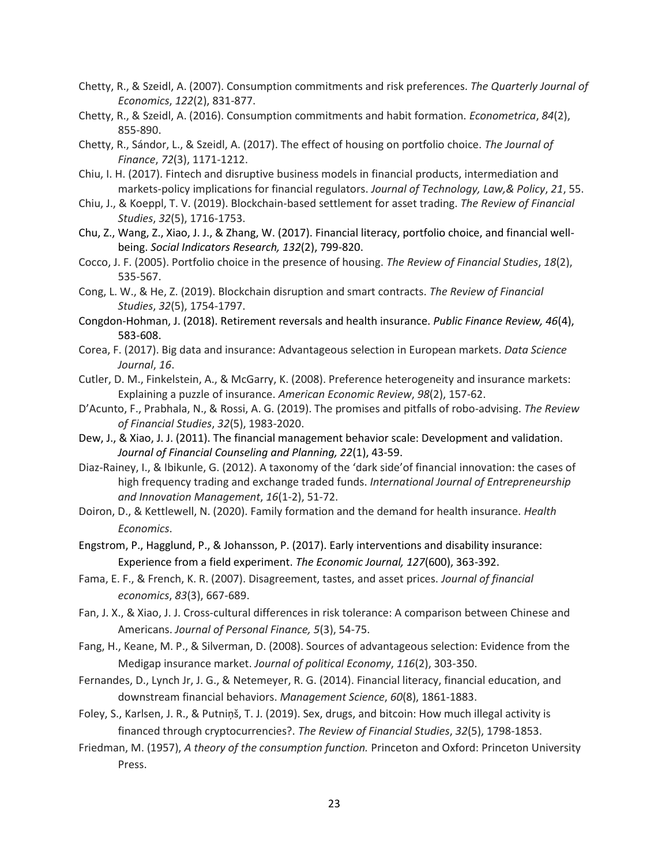- Chetty, R., & Szeidl, A. (2007). Consumption commitments and risk preferences. *The Quarterly Journal of Economics*, *122*(2), 831-877.
- Chetty, R., & Szeidl, A. (2016). Consumption commitments and habit formation. *Econometrica*, *84*(2), 855-890.
- Chetty, R., Sándor, L., & Szeidl, A. (2017). The effect of housing on portfolio choice. *The Journal of Finance*, *72*(3), 1171-1212.
- Chiu, I. H. (2017). Fintech and disruptive business models in financial products, intermediation and markets-policy implications for financial regulators. *Journal of Technology, Law,& Policy*, *21*, 55.
- Chiu, J., & Koeppl, T. V. (2019). Blockchain-based settlement for asset trading. *The Review of Financial Studies*, *32*(5), 1716-1753.
- Chu, Z., Wang, Z., Xiao, J. J., & Zhang, W. (2017). Financial literacy, portfolio choice, and financial wellbeing. *Social Indicators Research, 132*(2), 799-820.
- Cocco, J. F. (2005). Portfolio choice in the presence of housing. *The Review of Financial Studies*, *18*(2), 535-567.
- Cong, L. W., & He, Z. (2019). Blockchain disruption and smart contracts. *The Review of Financial Studies*, *32*(5), 1754-1797.
- Congdon-Hohman, J. (2018). Retirement reversals and health insurance. *Public Finance Review, 46*(4), 583-608.
- Corea, F. (2017). Big data and insurance: Advantageous selection in European markets. *Data Science Journal*, *16*.
- Cutler, D. M., Finkelstein, A., & McGarry, K. (2008). Preference heterogeneity and insurance markets: Explaining a puzzle of insurance. *American Economic Review*, *98*(2), 157-62.
- D'Acunto, F., Prabhala, N., & Rossi, A. G. (2019). The promises and pitfalls of robo-advising. *The Review of Financial Studies*, *32*(5), 1983-2020.
- Dew, J., & Xiao, J. J. (2011). The financial management behavior scale: Development and validation. *Journal of Financial Counseling and Planning, 22*(1), 43-59.
- Diaz-Rainey, I., & Ibikunle, G. (2012). A taxonomy of the 'dark side'of financial innovation: the cases of high frequency trading and exchange traded funds. *International Journal of Entrepreneurship and Innovation Management*, *16*(1-2), 51-72.
- Doiron, D., & Kettlewell, N. (2020). Family formation and the demand for health insurance. *Health Economics*.
- Engstrom, P., Hagglund, P., & Johansson, P. (2017). Early interventions and disability insurance: Experience from a field experiment. *The Economic Journal, 127*(600), 363-392.
- Fama, E. F., & French, K. R. (2007). Disagreement, tastes, and asset prices. *Journal of financial economics*, *83*(3), 667-689.
- Fan, J. X., & Xiao, J. J. Cross-cultural differences in risk tolerance: A comparison between Chinese and Americans. *Journal of Personal Finance, 5*(3), 54-75.
- Fang, H., Keane, M. P., & Silverman, D. (2008). Sources of advantageous selection: Evidence from the Medigap insurance market. *Journal of political Economy*, *116*(2), 303-350.
- Fernandes, D., Lynch Jr, J. G., & Netemeyer, R. G. (2014). Financial literacy, financial education, and downstream financial behaviors. *Management Science*, *60*(8), 1861-1883.
- Foley, S., Karlsen, J. R., & Putniņš, T. J. (2019). Sex, drugs, and bitcoin: How much illegal activity is financed through cryptocurrencies?. *The Review of Financial Studies*, *32*(5), 1798-1853.
- Friedman, M. (1957), *A theory of the consumption function.* Princeton and Oxford: Princeton University Press.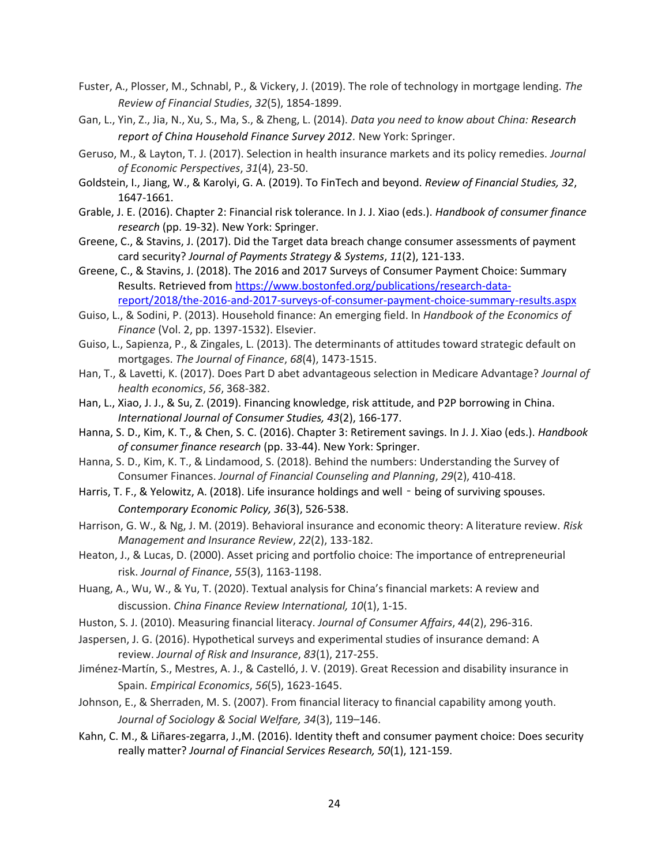- Fuster, A., Plosser, M., Schnabl, P., & Vickery, J. (2019). The role of technology in mortgage lending. *The Review of Financial Studies*, *32*(5), 1854-1899.
- Gan, L., Yin, Z., Jia, N., Xu, S., Ma, S., & Zheng, L. (2014). *Data you need to know about China: Research report of China Household Finance Survey 2012.* New York: Springer.
- Geruso, M., & Layton, T. J. (2017). Selection in health insurance markets and its policy remedies. *Journal of Economic Perspectives*, *31*(4), 23-50.
- Goldstein, I., Jiang, W., & Karolyi, G. A. (2019). To FinTech and beyond. *Review of Financial Studies, 32*, 1647-1661.
- Grable, J. E. (2016). Chapter 2: Financial risk tolerance. In J. J. Xiao (eds.). *Handbook of consumer finance research* (pp. 19-32). New York: Springer.
- Greene, C., & Stavins, J. (2017). Did the Target data breach change consumer assessments of payment card security? *Journal of Payments Strategy & Systems*, *11*(2), 121-133.
- Greene, C., & Stavins, J. (2018). The 2016 and 2017 Surveys of Consumer Payment Choice: Summary Results. Retrieved from [https://www.bostonfed.org/publications/research-data](https://www.bostonfed.org/publications/research-data-report/2018/the-2016-and-2017-surveys-of-consumer-payment-choice-summary-results.aspx)[report/2018/the-2016-and-2017-surveys-of-consumer-payment-choice-summary-results.aspx](https://www.bostonfed.org/publications/research-data-report/2018/the-2016-and-2017-surveys-of-consumer-payment-choice-summary-results.aspx)
- Guiso, L., & Sodini, P. (2013). Household finance: An emerging field. In *Handbook of the Economics of Finance* (Vol. 2, pp. 1397-1532). Elsevier.
- Guiso, L., Sapienza, P., & Zingales, L. (2013). The determinants of attitudes toward strategic default on mortgages. *The Journal of Finance*, *68*(4), 1473-1515.
- Han, T., & Lavetti, K. (2017). Does Part D abet advantageous selection in Medicare Advantage? *Journal of health economics*, *56*, 368-382.
- Han, L., Xiao, J. J., & Su, Z. (2019). Financing knowledge, risk attitude, and P2P borrowing in China. *International Journal of Consumer Studies, 43*(2), 166-177.
- Hanna, S. D., Kim, K. T., & Chen, S. C. (2016). Chapter 3: Retirement savings. In J. J. Xiao (eds.). *Handbook of consumer finance research* (pp. 33-44). New York: Springer.
- Hanna, S. D., Kim, K. T., & Lindamood, S. (2018). Behind the numbers: Understanding the Survey of Consumer Finances. *Journal of Financial Counseling and Planning*, *29*(2), 410-418.
- Harris, T. F., & Yelowitz, A. (2018). Life insurance holdings and well being of surviving spouses. *Contemporary Economic Policy, 36*(3), 526-538.
- Harrison, G. W., & Ng, J. M. (2019). Behavioral insurance and economic theory: A literature review. *Risk Management and Insurance Review*, *22*(2), 133-182.
- Heaton, J., & Lucas, D. (2000). Asset pricing and portfolio choice: The importance of entrepreneurial risk. *Journal of Finance*, *55*(3), 1163-1198.
- Huang, A., Wu, W., & Yu, T. (2020). Textual analysis for China's financial markets: A review and discussion. *China Finance Review International, 10*(1), 1-15.
- Huston, S. J. (2010). Measuring financial literacy. *Journal of Consumer Affairs*, *44*(2), 296-316.
- Jaspersen, J. G. (2016). Hypothetical surveys and experimental studies of insurance demand: A review. *Journal of Risk and Insurance*, *83*(1), 217-255.
- Jiménez-Martín, S., Mestres, A. J., & Castelló, J. V. (2019). Great Recession and disability insurance in Spain. *Empirical Economics*, *56*(5), 1623-1645.
- Johnson, E., & Sherraden, M. S. (2007). From financial literacy to financial capability among youth. *Journal of Sociology & Social Welfare, 34*(3), 119–146.
- Kahn, C. M., & Liñares-zegarra, J.,M. (2016). Identity theft and consumer payment choice: Does security really matter? *Journal of Financial Services Research, 50*(1), 121-159.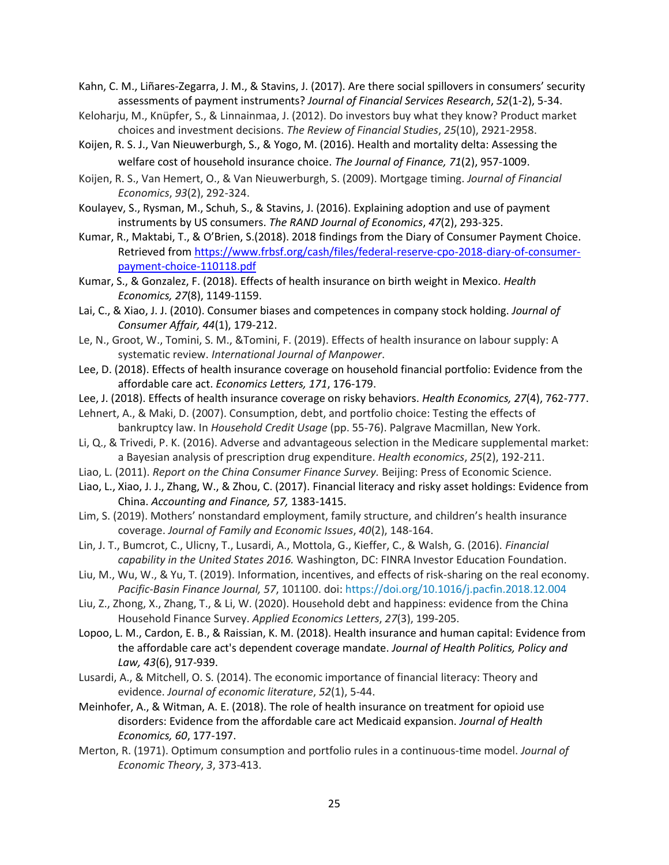Kahn, C. M., Liñares-Zegarra, J. M., & Stavins, J. (2017). Are there social spillovers in consumers' security assessments of payment instruments? *Journal of Financial Services Research*, *52*(1-2), 5-34.

- Keloharju, M., Knüpfer, S., & Linnainmaa, J. (2012). Do investors buy what they know? Product market choices and investment decisions. *The Review of Financial Studies*, *25*(10), 2921-2958.
- Koijen, R. S. J., Van Nieuwerburgh, S., & Yogo, M. (2016). Health and mortality delta: Assessing the welfare cost of household insurance choice. *The Journal of Finance, 71*(2), 957-1009.
- Koijen, R. S., Van Hemert, O., & Van Nieuwerburgh, S. (2009). Mortgage timing. *Journal of Financial Economics*, *93*(2), 292-324.
- Koulayev, S., Rysman, M., Schuh, S., & Stavins, J. (2016). Explaining adoption and use of payment instruments by US consumers. *The RAND Journal of Economics*, *47*(2), 293-325.
- Kumar, R., Maktabi, T., & O'Brien, S.(2018). 2018 findings from the Diary of Consumer Payment Choice. Retrieved from [https://www.frbsf.org/cash/files/federal-reserve-cpo-2018-diary-of-consumer](https://www.frbsf.org/cash/files/federal-reserve-cpo-2018-diary-of-consumer-payment-choice-110118.pdf)[payment-choice-110118.pdf](https://www.frbsf.org/cash/files/federal-reserve-cpo-2018-diary-of-consumer-payment-choice-110118.pdf)
- Kumar, S., & Gonzalez, F. (2018). Effects of health insurance on birth weight in Mexico. *Health Economics, 27*(8), 1149-1159.
- Lai, C., & Xiao, J. J. (2010). Consumer biases and competences in company stock holding. *Journal of Consumer Affair, 44*(1), 179-212.
- Le, N., Groot, W., Tomini, S. M., &Tomini, F. (2019). Effects of health insurance on labour supply: A systematic review. *International Journal of Manpower*.
- Lee, D. (2018). Effects of health insurance coverage on household financial portfolio: Evidence from the affordable care act. *Economics Letters, 171*, 176-179.
- Lee, J. (2018). Effects of health insurance coverage on risky behaviors. *Health Economics, 27*(4), 762-777.
- Lehnert, A., & Maki, D. (2007). Consumption, debt, and portfolio choice: Testing the effects of bankruptcy law. In *Household Credit Usage* (pp. 55-76). Palgrave Macmillan, New York.
- Li, Q., & Trivedi, P. K. (2016). Adverse and advantageous selection in the Medicare supplemental market: a Bayesian analysis of prescription drug expenditure. *Health economics*, *25*(2), 192-211.
- Liao, L. (2011). *Report on the China Consumer Finance Survey.* Beijing: Press of Economic Science.
- Liao, L., Xiao, J. J., Zhang, W., & Zhou, C. (2017). Financial literacy and risky asset holdings: Evidence from China. *Accounting and Finance, 57,* 1383-1415.
- Lim, S. (2019). Mothers' nonstandard employment, family structure, and children's health insurance coverage. *Journal of Family and Economic Issues*, *40*(2), 148-164.
- Lin, J. T., Bumcrot, C., Ulicny, T., Lusardi, A., Mottola, G., Kieffer, C., & Walsh, G. (2016). *Financial capability in the United States 2016.* Washington, DC: FINRA Investor Education Foundation.
- Liu, M., Wu, W., & Yu, T. (2019). Information, incentives, and effects of risk-sharing on the real economy. *Pacific-Basin Finance Journal, 57*, 101100. doi:<https://doi.org/10.1016/j.pacfin.2018.12.004>
- Liu, Z., Zhong, X., Zhang, T., & Li, W. (2020). Household debt and happiness: evidence from the China Household Finance Survey. *Applied Economics Letters*, *27*(3), 199-205.
- Lopoo, L. M., Cardon, E. B., & Raissian, K. M. (2018). Health insurance and human capital: Evidence from the affordable care act's dependent coverage mandate. *Journal of Health Politics, Policy and Law, 43*(6), 917-939.
- Lusardi, A., & Mitchell, O. S. (2014). The economic importance of financial literacy: Theory and evidence. *Journal of economic literature*, *52*(1), 5-44.
- Meinhofer, A., & Witman, A. E. (2018). The role of health insurance on treatment for opioid use disorders: Evidence from the affordable care act Medicaid expansion. *Journal of Health Economics, 60*, 177-197.
- Merton, R. (1971). Optimum consumption and portfolio rules in a continuous-time model. *Journal of Economic Theory*, *3*, 373-413.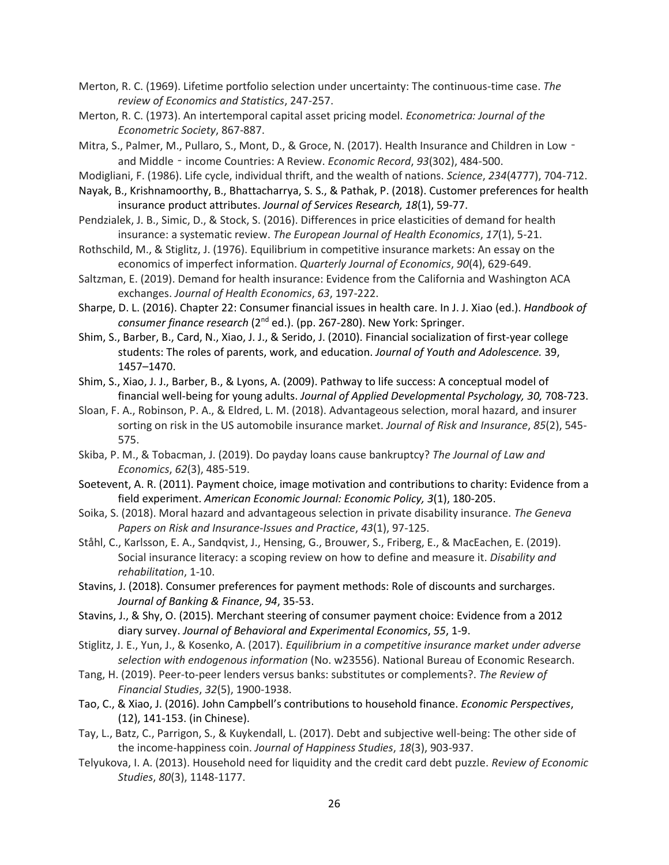Merton, R. C. (1969). Lifetime portfolio selection under uncertainty: The continuous-time case. *The review of Economics and Statistics*, 247-257.

Merton, R. C. (1973). An intertemporal capital asset pricing model. *Econometrica: Journal of the Econometric Society*, 867-887.

Mitra, S., Palmer, M., Pullaro, S., Mont, D., & Groce, N. (2017). Health Insurance and Children in Low and Middle‐income Countries: A Review. *Economic Record*, *93*(302), 484-500.

Modigliani, F. (1986). Life cycle, individual thrift, and the wealth of nations. *Science*, *234*(4777), 704-712.

- Nayak, B., Krishnamoorthy, B., Bhattacharrya, S. S., & Pathak, P. (2018). Customer preferences for health insurance product attributes. *Journal of Services Research, 18*(1), 59-77.
- Pendzialek, J. B., Simic, D., & Stock, S. (2016). Differences in price elasticities of demand for health insurance: a systematic review. *The European Journal of Health Economics*, *17*(1), 5-21.
- Rothschild, M., & Stiglitz, J. (1976). Equilibrium in competitive insurance markets: An essay on the economics of imperfect information. *Quarterly Journal of Economics*, *90*(4), 629-649.
- Saltzman, E. (2019). Demand for health insurance: Evidence from the California and Washington ACA exchanges. *Journal of Health Economics*, *63*, 197-222.
- Sharpe, D. L. (2016). Chapter 22: Consumer financial issues in health care. In J. J. Xiao (ed.). *Handbook of consumer finance research* (2nd ed.). (pp. 267-280). New York: Springer.
- Shim, S., Barber, B., Card, N., Xiao, J. J., & Serido, J. (2010). Financial socialization of first-year college students: The roles of parents, work, and education. *Journal of Youth and Adolescence.* 39, 1457–1470.
- Shim, S., Xiao, J. J., Barber, B., & Lyons, A. (2009). Pathway to life success: A conceptual model of financial well-being for young adults. *Journal of Applied Developmental Psychology, 30,* 708-723.
- Sloan, F. A., Robinson, P. A., & Eldred, L. M. (2018). Advantageous selection, moral hazard, and insurer sorting on risk in the US automobile insurance market. *Journal of Risk and Insurance*, *85*(2), 545- 575.
- Skiba, P. M., & Tobacman, J. (2019). Do payday loans cause bankruptcy? *The Journal of Law and Economics*, *62*(3), 485-519.
- Soetevent, A. R. (2011). Payment choice, image motivation and contributions to charity: Evidence from a field experiment. *American Economic Journal: Economic Policy, 3*(1), 180-205.
- Soika, S. (2018). Moral hazard and advantageous selection in private disability insurance. *The Geneva Papers on Risk and Insurance-Issues and Practice*, *43*(1), 97-125.
- Ståhl, C., Karlsson, E. A., Sandqvist, J., Hensing, G., Brouwer, S., Friberg, E., & MacEachen, E. (2019). Social insurance literacy: a scoping review on how to define and measure it. *Disability and rehabilitation*, 1-10.
- Stavins, J. (2018). Consumer preferences for payment methods: Role of discounts and surcharges. *Journal of Banking & Finance*, *94*, 35-53.
- Stavins, J., & Shy, O. (2015). Merchant steering of consumer payment choice: Evidence from a 2012 diary survey. *Journal of Behavioral and Experimental Economics*, *55*, 1-9.
- Stiglitz, J. E., Yun, J., & Kosenko, A. (2017). *Equilibrium in a competitive insurance market under adverse selection with endogenous information* (No. w23556). National Bureau of Economic Research.
- Tang, H. (2019). Peer-to-peer lenders versus banks: substitutes or complements?. *The Review of Financial Studies*, *32*(5), 1900-1938.
- Tao, C., & Xiao, J. (2016). John Campbell's contributions to household finance. *Economic Perspectives*, (12), 141-153. (in Chinese).
- Tay, L., Batz, C., Parrigon, S., & Kuykendall, L. (2017). Debt and subjective well-being: The other side of the income-happiness coin. *Journal of Happiness Studies*, *18*(3), 903-937.
- Telyukova, I. A. (2013). Household need for liquidity and the credit card debt puzzle. *Review of Economic Studies*, *80*(3), 1148-1177.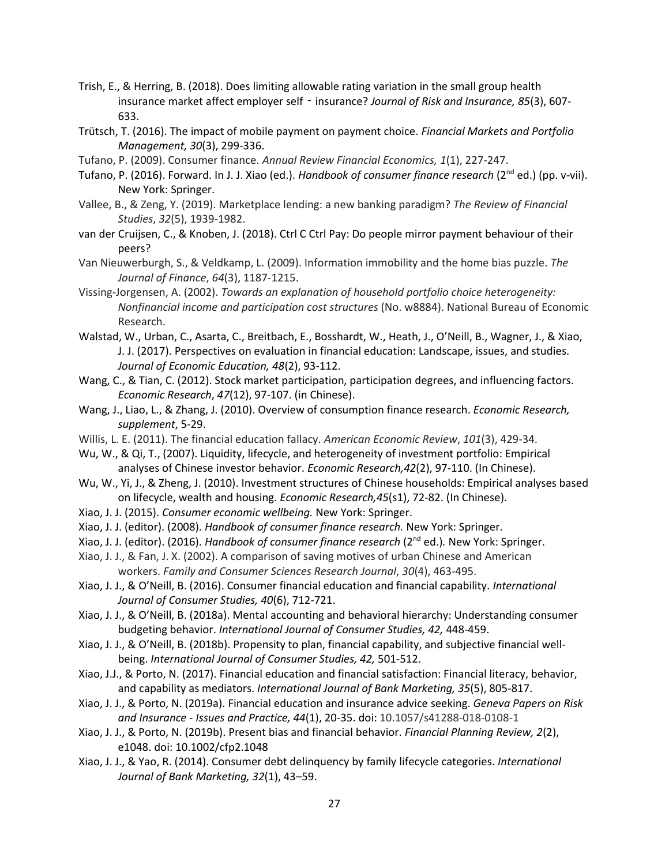- Trish, E., & Herring, B. (2018). Does limiting allowable rating variation in the small group health insurance market affect employer self - insurance? *Journal of Risk and Insurance, 85*(3), 607-633.
- Trütsch, T. (2016). The impact of mobile payment on payment choice. *Financial Markets and Portfolio Management, 30*(3), 299-336.
- Tufano, P. (2009). Consumer finance. *Annual Review Financial Economics, 1*(1), 227-247.
- Tufano, P. (2016). Forward. In J. J. Xiao (ed.). *Handbook of consumer finance research* (2nd ed.) (pp. v-vii). New York: Springer.
- Vallee, B., & Zeng, Y. (2019). Marketplace lending: a new banking paradigm? *The Review of Financial Studies*, *32*(5), 1939-1982.
- van der Cruijsen, C., & Knoben, J. (2018). Ctrl C Ctrl Pay: Do people mirror payment behaviour of their peers?
- Van Nieuwerburgh, S., & Veldkamp, L. (2009). Information immobility and the home bias puzzle. *The Journal of Finance*, *64*(3), 1187-1215.
- Vissing-Jorgensen, A. (2002). *Towards an explanation of household portfolio choice heterogeneity: Nonfinancial income and participation cost structures* (No. w8884). National Bureau of Economic Research.
- Walstad, W., Urban, C., Asarta, C., Breitbach, E., Bosshardt, W., Heath, J., O'Neill, B., Wagner, J., & Xiao, J. J. (2017). Perspectives on evaluation in financial education: Landscape, issues, and studies. *Journal of Economic Education, 48*(2), 93-112.
- Wang, C., & Tian, C. (2012). Stock market participation, participation degrees, and influencing factors. *Economic Research*, *47*(12), 97-107. (in Chinese).
- Wang, J., Liao, L., & Zhang, J. (2010). Overview of consumption finance research. *Economic Research, supplement*, 5-29.
- Willis, L. E. (2011). The financial education fallacy. *American Economic Review*, *101*(3), 429-34.
- Wu, W., & Qi, T., (2007). Liquidity, lifecycle, and heterogeneity of investment portfolio: Empirical analyses of Chinese investor behavior. *Economic Research,42*(2), 97-110. (In Chinese).
- Wu, W., Yi, J., & Zheng, J. (2010). Investment structures of Chinese households: Empirical analyses based on lifecycle, wealth and housing. *Economic Research,45*(s1), 72-82. (In Chinese).
- Xiao, J. J. (2015). *Consumer economic wellbeing.* New York: Springer.
- Xiao, J. J. (editor). (2008). *Handbook of consumer finance research.* New York: Springer.
- Xiao, J. J. (editor). (2016). *Handbook of consumer finance research* (2nd ed.)*.* New York: Springer.
- Xiao, J. J., & Fan, J. X. (2002). A comparison of saving motives of urban Chinese and American workers. *Family and Consumer Sciences Research Journal*, *30*(4), 463-495.
- Xiao, J. J., & O'Neill, B. (2016). Consumer financial education and financial capability. *International Journal of Consumer Studies, 40*(6), 712-721.
- Xiao, J. J., & O'Neill, B. (2018a). Mental accounting and behavioral hierarchy: Understanding consumer budgeting behavior. *International Journal of Consumer Studies, 42,* 448-459.
- Xiao, J. J., & O'Neill, B. (2018b). Propensity to plan, financial capability, and subjective financial wellbeing. *International Journal of Consumer Studies, 42,* 501-512.
- Xiao, J.J., & Porto, N. (2017). Financial education and financial satisfaction: Financial literacy, behavior, and capability as mediators. *International Journal of Bank Marketing, 35*(5), 805-817.
- Xiao, J. J., & Porto, N. (2019a). Financial education and insurance advice seeking. *Geneva Papers on Risk and Insurance - Issues and Practice, 44*(1), 20-35. doi: 10.1057/s41288-018-0108-1
- Xiao, J. J., & Porto, N. (2019b). Present bias and financial behavior. *Financial Planning Review, 2*(2), e1048. doi: 10.1002/cfp2.1048
- Xiao, J. J., & Yao, R. (2014). Consumer debt delinquency by family lifecycle categories. *International Journal of Bank Marketing, 32*(1), 43–59.